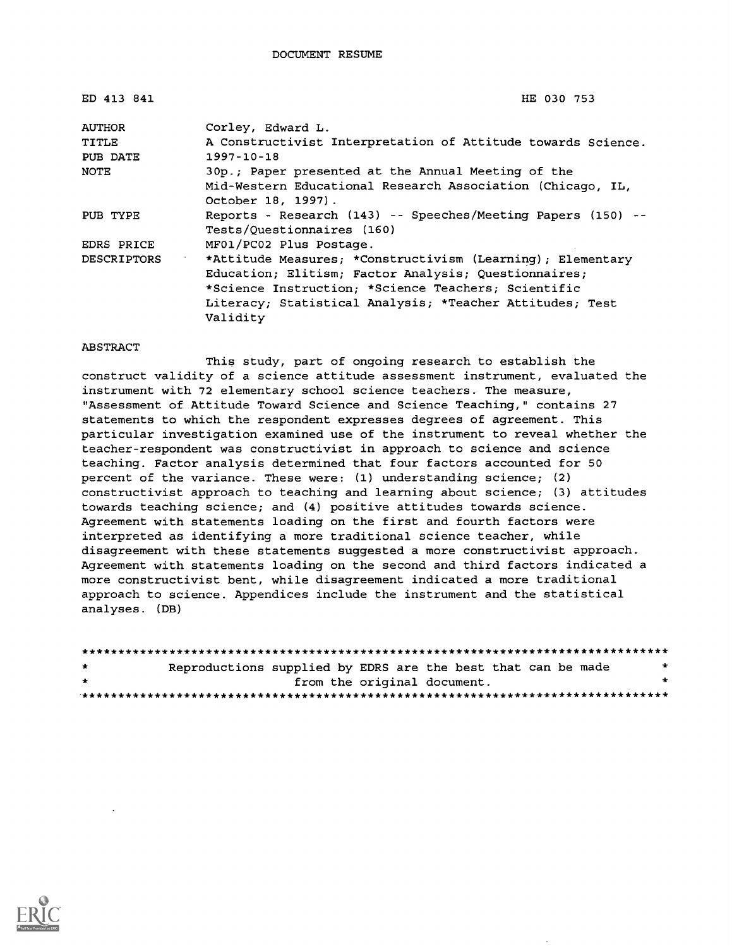| ED 413 841         | HE 030 753                                                                                                                                                                                                                                        |
|--------------------|---------------------------------------------------------------------------------------------------------------------------------------------------------------------------------------------------------------------------------------------------|
| <b>AUTHOR</b>      | Corley, Edward L.                                                                                                                                                                                                                                 |
| TITLE              | A Constructivist Interpretation of Attitude towards Science.                                                                                                                                                                                      |
| PUB DATE           | $1997 - 10 - 18$                                                                                                                                                                                                                                  |
| NOTE               | 30p.; Paper presented at the Annual Meeting of the                                                                                                                                                                                                |
|                    | Mid-Western Educational Research Association (Chicago, IL,<br>October 18, 1997).                                                                                                                                                                  |
| PUB TYPE           | Reports - Research (143) -- Speeches/Meeting Papers (150) --<br>Tests/Questionnaires (160)                                                                                                                                                        |
| EDRS PRICE         | MF01/PC02 Plus Postage.                                                                                                                                                                                                                           |
| <b>DESCRIPTORS</b> | *Attitude Measures; *Constructivism (Learning); Elementary<br>Education; Elitism; Factor Analysis; Questionnaires;<br>*Science Instruction; *Science Teachers; Scientific<br>Literacy; Statistical Analysis; *Teacher Attitudes; Test<br>Validity |

#### ABSTRACT

This study, part of ongoing research to establish the construct validity of a science attitude assessment instrument, evaluated the instrument with 72 elementary school science teachers. The measure, "Assessment of Attitude Toward Science and Science Teaching," contains 27 statements to which the respondent expresses degrees of agreement. This particular investigation examined use of the instrument to reveal whether the teacher-respondent was constructivist in approach to science and science teaching. Factor analysis determined that four factors accounted for 50 percent of the variance. These were: (1) understanding science; (2) constructivist approach to teaching and learning about science; (3) attitudes towards teaching science; and (4) positive attitudes towards science. Agreement with statements loading on the first and fourth factors were interpreted as identifying a more traditional science teacher, while disagreement with these statements suggested a more constructivist approach. Agreement with statements loading on the second and third factors indicated a more constructivist bent, while disagreement indicated a more traditional approach to science. Appendices include the instrument and the statistical analyses. (DB)

| $\star$ | Reproductions supplied by EDRS are the best that can be made |  |  |                             |  |  | * |
|---------|--------------------------------------------------------------|--|--|-----------------------------|--|--|---|
| $\star$ |                                                              |  |  | from the original document. |  |  |   |
|         |                                                              |  |  |                             |  |  |   |

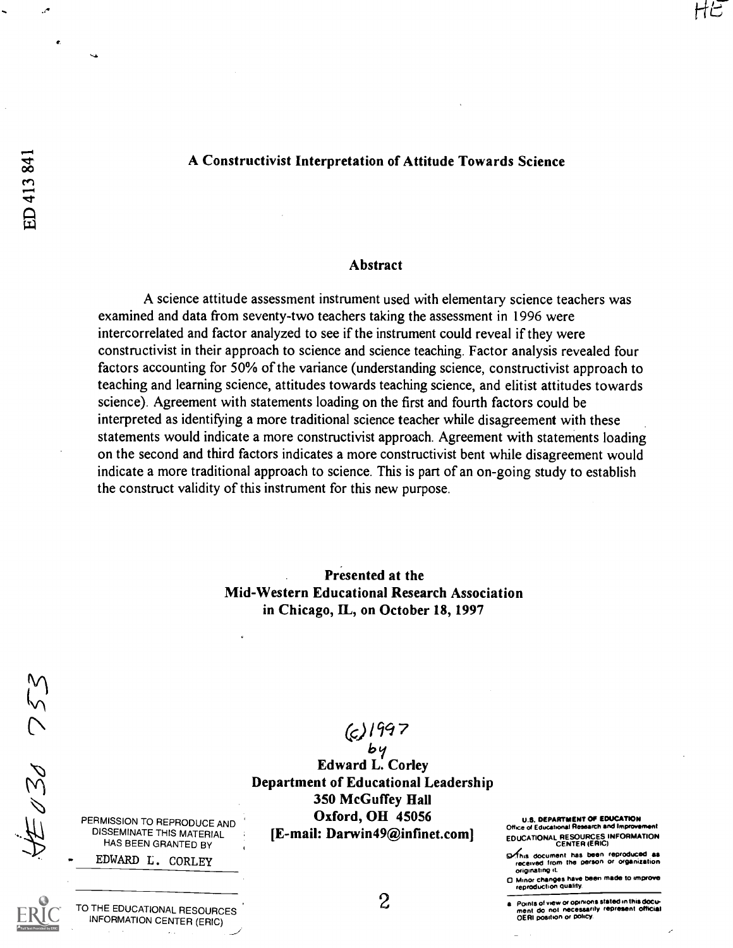### A Constructivist Interpretation of Attitude Towards Science

#### Abstract

A science attitude assessment instrument used with elementary science teachers was examined and data from seventy-two teachers taking the assessment in 1996 were intercorrelated and factor analyzed to see if the instrument could reveal if they were constructivist in their approach to science and science teaching. Factor analysis revealed four factors accounting for 50% of the variance (understanding science, constructivist approach to teaching and learning science, attitudes towards teaching science, and elitist attitudes towards science). Agreement with statements loading on the first and fourth factors could be interpreted as identifying a more traditional science teacher while disagreement with these statements would indicate a more constructivist approach. Agreement with statements loading on the second and third factors indicates a more constructivist bent while disagreement would indicate a more traditional approach to science. This is part of an on-going study to establish the construct validity of this instrument for this new purpose.

> Presented at the Mid-Western Educational Research Association in Chicago, IL, on October 18, 1997

 $E2030753$ 

 $(c)$ 1997

by Edward L. Corley Department of Educational Leadership 350 McGuffey Hall Oxford, OH 45056 [E-mail: Darwin49@infinet.com]

U.S. DEPARTMENT Of EDUCATION Office of Educational Research and Improve EDUCATIONAL RESOURCES INFORMATION<br>CENTER (ERIC)

**S**this document has been reproduced as received from the person or organization originating it

0 Minor changes have been made to improve reproduction quality.

PERMISSION TO REPRODUCE AND DISSEMINATE THIS MATERIAL HAS BEEN GRANTED BY EDWARD L. CORLEY

TO THE EDUCATIONAL RESOURCES INFORMATION CENTER (ERIC)

2

Points of view or opinions stated in this documem do not necessarily represent official OERI position or policy.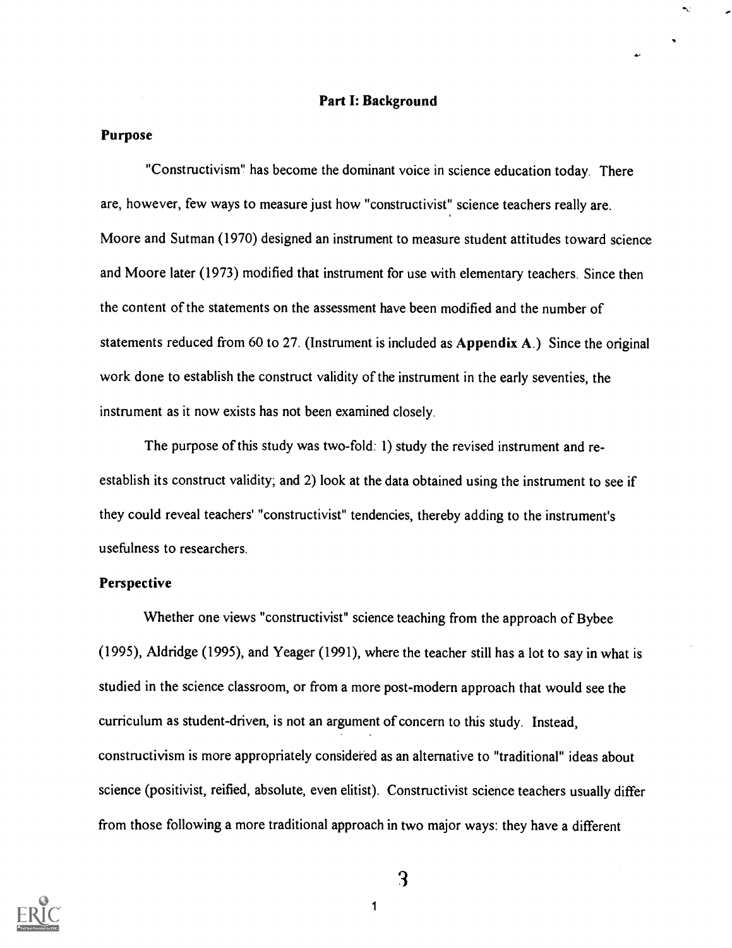#### Part I: Background

### Purpose

"Constructivism" has become the dominant voice in science education today. There are, however, few ways to measure just how "constructivist" science teachers really are. Moore and Sutman (1970) designed an instrument to measure student attitudes toward science and Moore later (1973) modified that instrument for use with elementary teachers. Since then the content of the statements on the assessment have been modified and the number of statements reduced from 60 to 27. (Instrument is included as Appendix A.) Since the original work done to establish the construct validity of the instrument in the early seventies, the instrument as it now exists has not been examined closely.

The purpose of this study was two-fold: 1) study the revised instrument and reestablish its construct validity; and 2) look at the data obtained using the instrument to see if they could reveal teachers' "constructivist" tendencies, thereby adding to the instrument's usefulness to researchers.

### Perspective

Whether one views "constructivist" science teaching from the approach of Bybee (1995), Aldridge (1995), and Yeager (1991), where the teacher still has a lot to say in what is studied in the science classroom, or from a more post-modern approach that would see the curriculum as student-driven, is not an argument of concern to this study. Instead, constructivism is more appropriately considered as an alternative to "traditional" ideas about science (positivist, reified, absolute, even elitist). Constructivist science teachers usually differ from those following a more traditional approach in two major ways: they have a different



3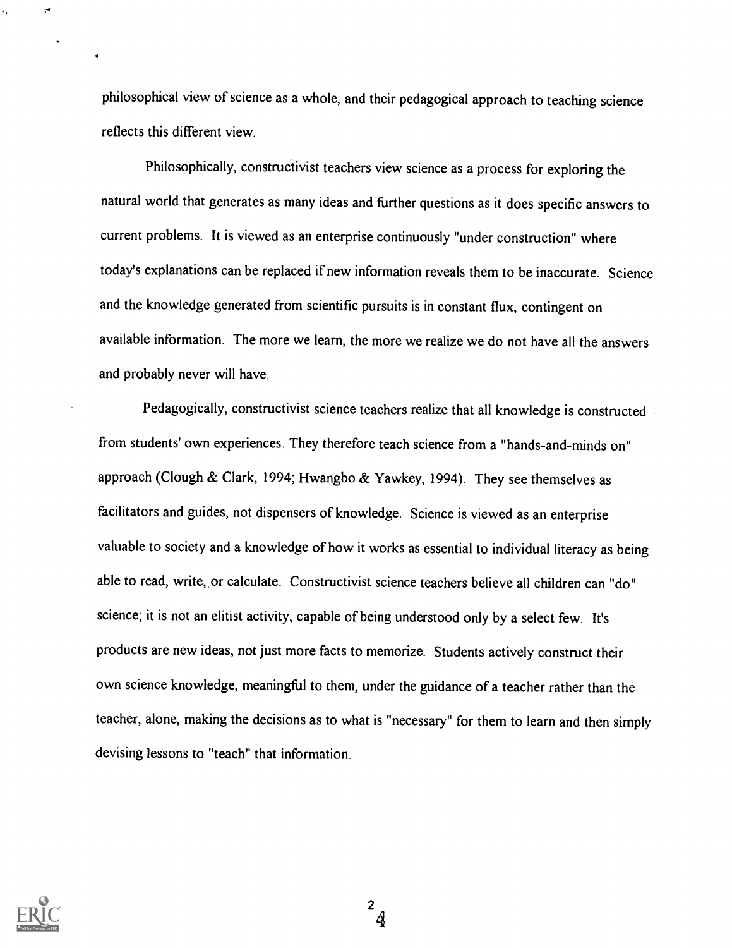philosophical view of science as a whole, and their pedagogical approach to teaching science reflects this different view.

Philosophically, constructivist teachers view science as a process for exploring the natural world that generates as many ideas and further questions as it does specific answers to current problems. It is viewed as an enterprise continuously "under construction" where today's explanations can be replaced if new information reveals them to be inaccurate. Science and the knowledge generated from scientific pursuits is in constant flux, contingent on available information. The more we learn, the more we realize we do not have all the answers and probably never will have.

Pedagogically, constructivist science teachers realize that all knowledge is constructed from students' own experiences. They therefore teach science from a "hands-and-minds on" approach (Clough & Clark, 1994; Hwangbo & Yawkey, 1994). They see themselves as facilitators and guides, not dispensers of knowledge. Science is viewed as an enterprise valuable to society and a knowledge of how it works as essential to individual literacy as being able to read, write, or calculate. Constructivist science teachers believe all children can "do" science; it is not an elitist activity, capable of being understood only by a select few. It's products are new ideas, not just more facts to memorize. Students actively construct their own science knowledge, meaningful to them, under the guidance of a teacher rather than the teacher, alone, making the decisions as to what is "necessary" for them to learn and then simply devising lessons to "teach" that information.



 $\mathbf{r}$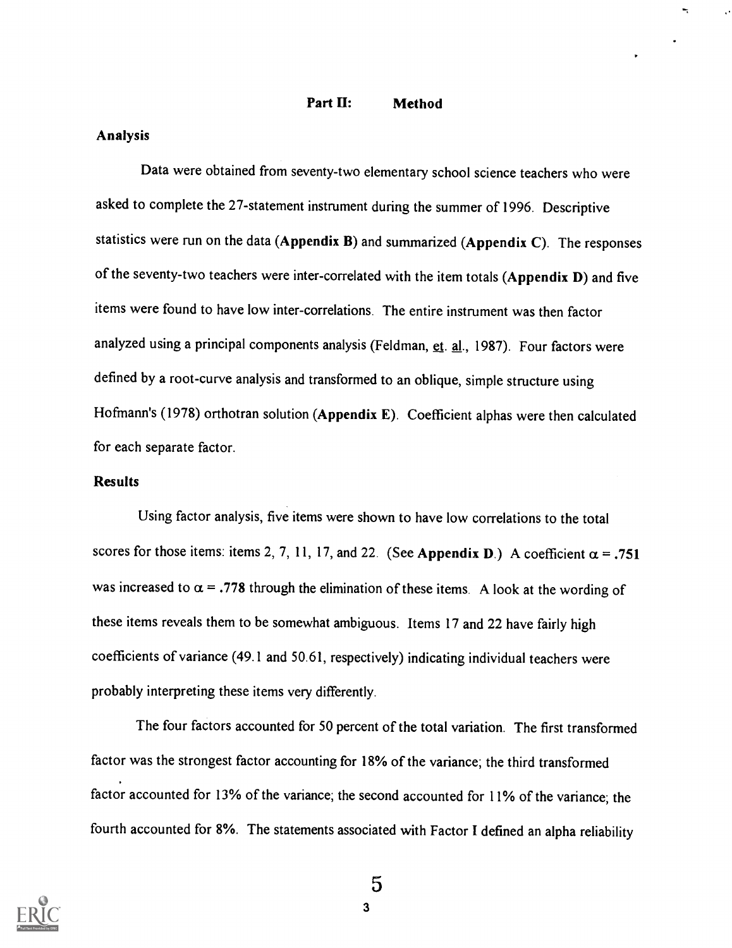Part II: Method

### Analysis

Data were obtained from seventy-two elementary school science teachers who were asked to complete the 27-statement instrument during the summer of 1996. Descriptive statistics were run on the data (Appendix B) and summarized (Appendix C). The responses of the seventy-two teachers were inter-correlated with the item totals (Appendix D) and five items were found to have low inter-correlations. The entire instrument was then factor analyzed using a principal components analysis (Feldman, et. al., 1987). Four factors were defined by a root-curve analysis and transformed to an oblique, simple structure using Hofmann's (1978) orthotran solution (Appendix E). Coefficient alphas were then calculated for each separate factor.

### Results

Using factor analysis, five items were shown to have low correlations to the total scores for those items: items 2, 7, 11, 17, and 22. (See Appendix D.) A coefficient  $\alpha = .751$ was increased to  $\alpha$  = .778 through the elimination of these items. A look at the wording of these items reveals them to be somewhat ambiguous. Items 17 and 22 have fairly high coefficients of variance (49.1 and 50.61, respectively) indicating individual teachers were probably interpreting these items very differently.

The four factors accounted for 50 percent of the total variation. The first transformed factor was the strongest factor accounting for 18% of the variance; the third transformed factor accounted for 13% of the variance; the second accounted for 11% of the variance; the fourth accounted for 8%. The statements associated with Factor I defined an alpha reliability

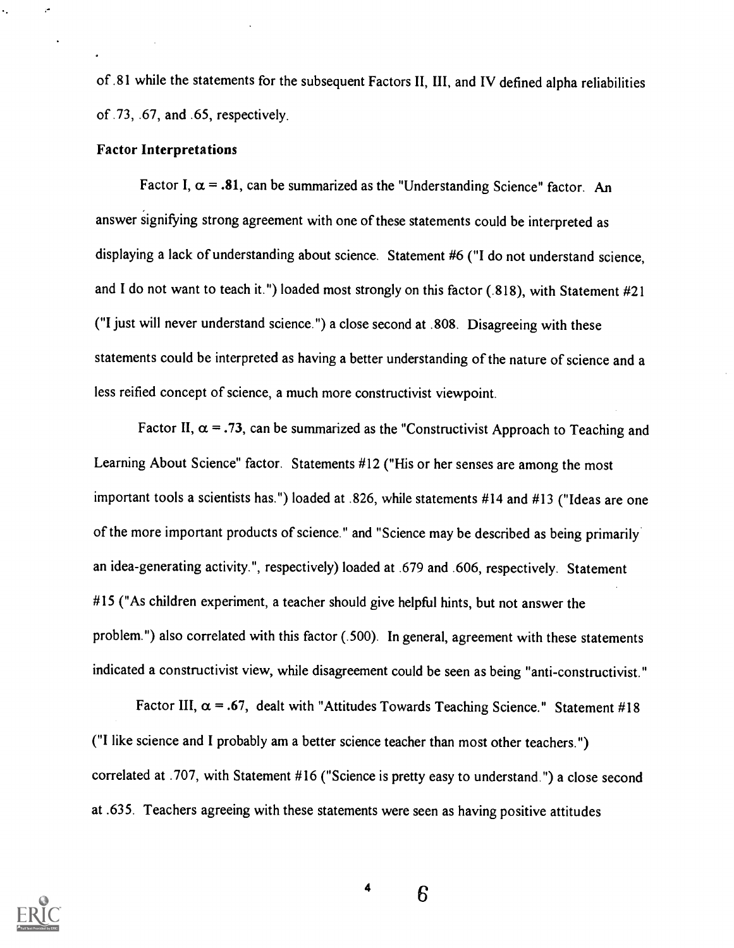of .81 while the statements for the subsequent Factors II, III, and IV defined alpha reliabilities of .73, .67, and .65, respectively.

### Factor Interpretations

Factor I,  $\alpha = .81$ , can be summarized as the "Understanding Science" factor. An answer signifying strong agreement with one of these statements could be interpreted as displaying a lack of understanding about science. Statement #6 ("I do not understand science, and I do not want to teach it.") loaded most strongly on this factor (.818), with Statement #21 ("I just will never understand science.") a close second at .808. Disagreeing with these statements could be interpreted as having a better understanding of the nature of science and a less reified concept of science, a much more constructivist viewpoint.

Factor II,  $\alpha = .73$ , can be summarized as the "Constructivist Approach to Teaching and Learning About Science" factor. Statements #12 ("His or her senses are among the most important tools a scientists has.") loaded at .826, while statements #14 and #13 ("Ideas are one of the more important products of science." and "Science may be described as being primarily an idea-generating activity.", respectively) loaded at .679 and .606, respectively. Statement #15 ("As children experiment, a teacher should give helpful hints, but not answer the problem.") also correlated with this factor (.500). In general, agreement with these statements indicated a constructivist view, while disagreement could be seen as being "anti-constructivist."

Factor III,  $\alpha = .67$ , dealt with "Attitudes Towards Teaching Science." Statement #18 ("I like science and I probably am a better science teacher than most other teachers.") correlated at .707, with Statement #16 ("Science is pretty easy to understand.") a close second at .635. Teachers agreeing with these statements were seen as having positive attitudes



4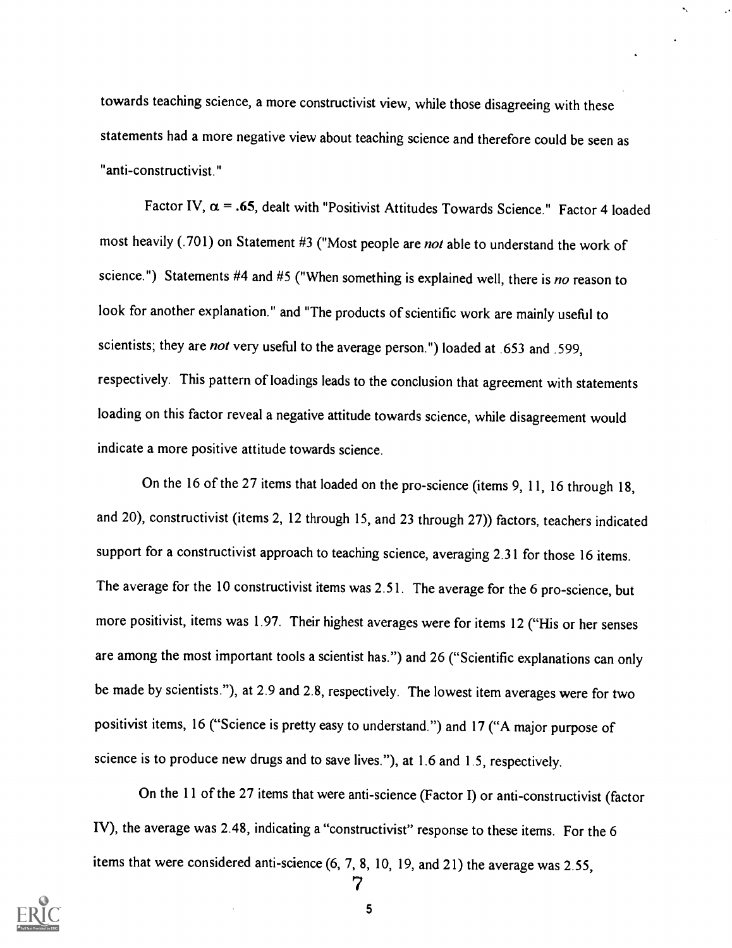towards teaching science, a more constructivist view, while those disagreeing with these statements had a more negative view about teaching science and therefore could be seen as "anti-constructivist."

Factor IV,  $\alpha$  = .65, dealt with "Positivist Attitudes Towards Science." Factor 4 loaded most heavily (.701) on Statement #3 ("Most people are not able to understand the work of science.") Statements #4 and #5 ("When something is explained well, there is no reason to look for another explanation." and "The products of scientific work are mainly useful to scientists; they are not very useful to the average person.") loaded at .653 and .599, respectively. This pattern of loadings leads to the conclusion that agreement with statements loading on this factor reveal a negative attitude towards science, while disagreement would indicate a more positive attitude towards science.

On the 16 of the 27 items that loaded on the pro-science (items 9, 11, 16 through 18, and 20), constructivist (items 2, 12 through 15, and 23 through 27)) factors, teachers indicated support for a constructivist approach to teaching science, averaging 2.31 for those 16 items. The average for the 10 constructivist items was 2.51. The average for the 6 pro-science, but more positivist, items was 1.97. Their highest averages were for items 12 ("His or her senses are among the most important tools a scientist has.") and 26 ("Scientific explanations can only be made by scientists."), at 2.9 and 2.8, respectively. The lowest item averages were for two positivist items, 16 ("Science is pretty easy to understand.") and 17 ("A major purpose of science is to produce new drugs and to save lives."), at 1.6 and 1.5, respectively.

On the 11 of the 27 items that were anti-science (Factor I) or anti-constructivist (factor IV), the average was 2.48, indicating a "constructivist" response to these items. For the 6 items that were considered anti-science (6, 7, 8, 10, 19, and 21) the average was 2.55,

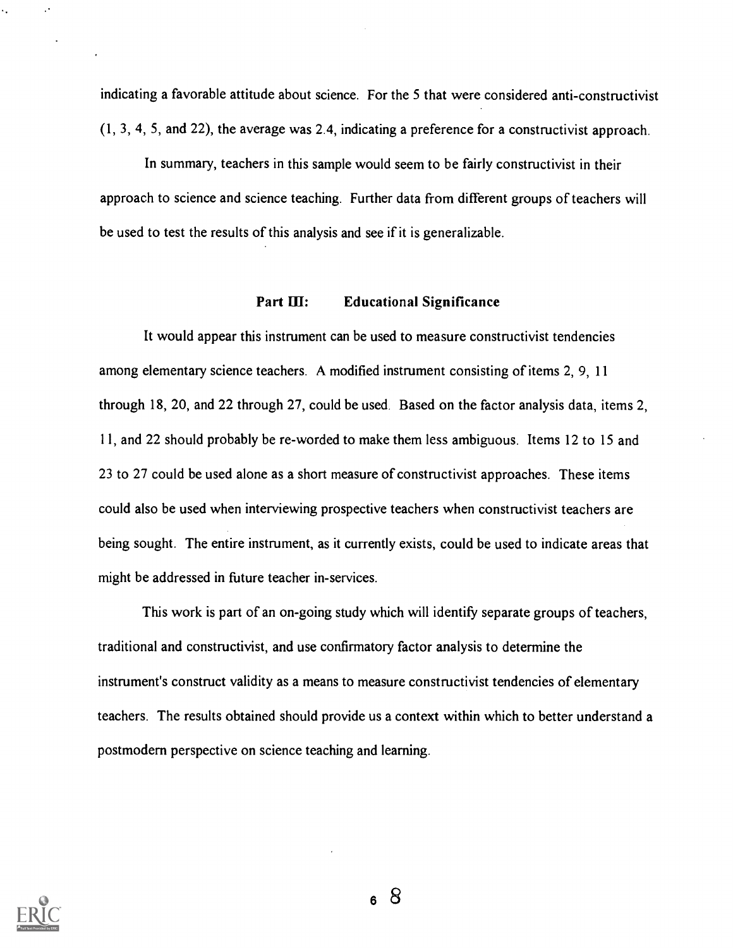indicating a favorable attitude about science. For the 5 that were considered anti-constructivist (1, 3, 4, 5, and 22), the average was 2.4, indicating a preference for a constructivist approach.

In summary, teachers in this sample would seem to be fairly constructivist in their approach to science and science teaching. Further data from different groups of teachers will be used to test the results of this analysis and see if it is generalizable.

### Part III: Educational Significance

It would appear this instrument can be used to measure constructivist tendencies among elementary science teachers. A modified instrument consisting of items 2, 9, 11 through 18, 20, and 22 through 27, could be used. Based on the factor analysis data, items 2, 11, and 22 should probably be re-worded to make them less ambiguous. Items 12 to 15 and 23 to 27 could be used alone as a short measure of constructivist approaches. These items could also be used when interviewing prospective teachers when constructivist teachers are being sought. The entire instrument, as it currently exists, could be used to indicate areas that might be addressed in future teacher in-services.

This work is part of an on-going study which will identify separate groups of teachers, traditional and constructivist, and use confirmatory factor analysis to determine the instrument's construct validity as a means to measure constructivist tendencies of elementary teachers. The results obtained should provide us a context within which to better understand a postmodern perspective on science teaching and learning.

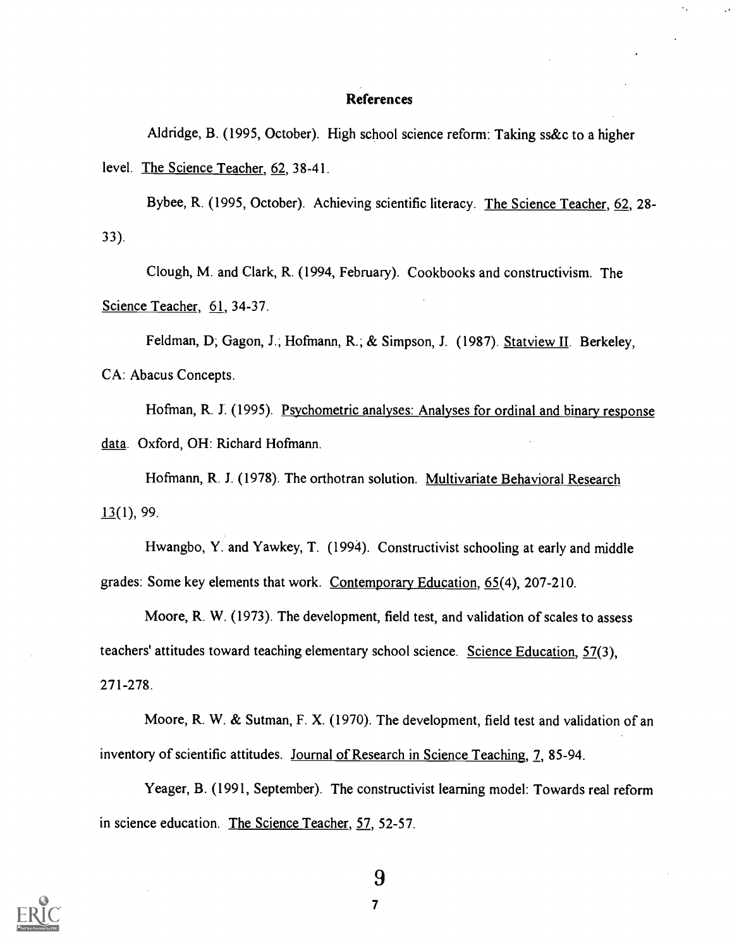#### References

Aldridge, B. (1995, October). High school science reform: Taking ss&c to a higher level. The Science Teacher, 62, 38-41.

Bybee, R. (1995, October). Achieving scientific literacy. The Science Teacher, 62, 28- 33).

Clough, M. and Clark, R. (1994, February). Cookbooks and constructivism. The Science Teacher, 61, 34-37.

Feldman, D; Gagon, J.; Hofmann, R.; & Simpson, J. (1987). Statview II. Berkeley, CA: Abacus Concepts.

Hofman, R. J. (1995). Psychometric analyses: Analyses for ordinal and binary response data. Oxford, OH: Richard Hofmann.

Hofmann, R. J. (1978). The orthotran solution. Multivariate Behavioral Research  $13(1)$ , 99.

Hwangbo, Y. and Yawkey, T. (1994). Constructivist schooling at early and middle grades: Some key elements that work. Contemporary Education, 65(4), 207-210.

Moore, R. W. (1973). The development, field test, and validation of scales to assess teachers' attitudes toward teaching elementary school science. Science Education, 57(3), 271-278.

Moore, R. W. & Sutman, F. X. (1970). The development, field test and validation of an inventory of scientific attitudes. Journal of Research in Science Teaching, 7, 85-94.

Yeager, B. (1991, September). The constructivist learning model: Towards real reform in science education. The Science Teacher, 57, 52-57.

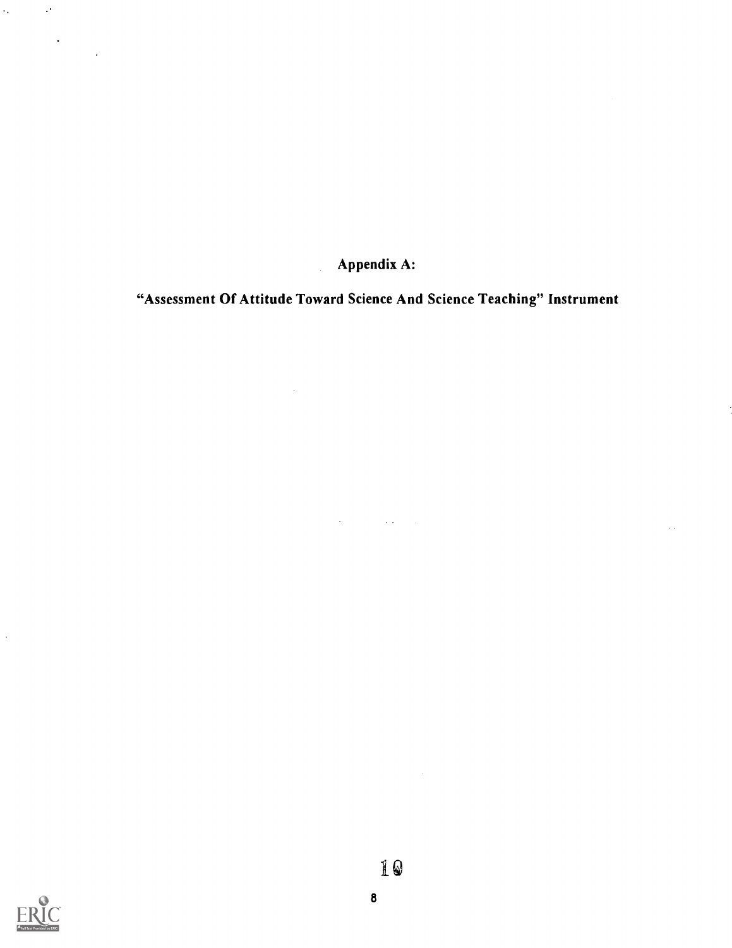Appendix A:

"Assessment Of Attitude Toward Science And Science Teaching" Instrument

 $\label{eq:2.1} \frac{1}{\sqrt{2}}\left(\frac{1}{\sqrt{2}}\right)^{2} \left(\frac{1}{\sqrt{2}}\right)^{2} \left(\frac{1}{\sqrt{2}}\right)^{2} \left(\frac{1}{\sqrt{2}}\right)^{2} \left(\frac{1}{\sqrt{2}}\right)^{2} \left(\frac{1}{\sqrt{2}}\right)^{2} \left(\frac{1}{\sqrt{2}}\right)^{2} \left(\frac{1}{\sqrt{2}}\right)^{2} \left(\frac{1}{\sqrt{2}}\right)^{2} \left(\frac{1}{\sqrt{2}}\right)^{2} \left(\frac{1}{\sqrt{2}}\right)^{2} \left(\$ 



 $\hat{\mathcal{A}}$ 

 $\mathcal{L}_{\text{max}}$ 

 $\mathcal{O}^{\pm}$ 

 $\ddot{\phantom{a}}$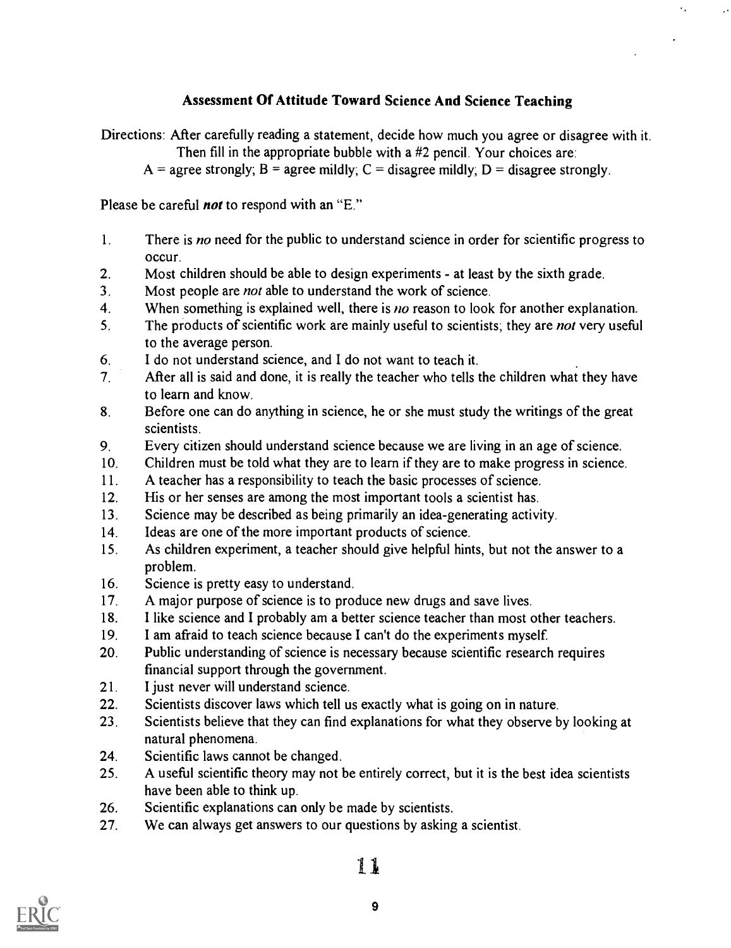## Assessment Of Attitude Toward Science And Science Teaching

÷,

Directions: After carefully reading a statement, decide how much you agree or disagree with it. Then fill in the appropriate bubble with a #2 pencil. Your choices are:

 $A =$  agree strongly;  $B =$  agree mildly;  $C =$  disagree mildly;  $D =$  disagree strongly.

Please be careful *not* to respond with an "E."

- 1. There is no need for the public to understand science in order for scientific progress to occur.
- 2. Most children should be able to design experiments at least by the sixth grade.
- 3. Most people are *not* able to understand the work of science.
- 4. When something is explained well, there is no reason to look for another explanation.
- 5. The products of scientific work are mainly useful to scientists; they are *not* very useful to the average person.
- 6. I do not understand science, and I do not want to teach it.
- 7. After all is said and done, it is really the teacher who tells the children what they have to learn and know.
- 8. Before one can do anything in science, he or she must study the writings of the great scientists.
- 9. Every citizen should understand science because we are living in an age of science.
- 10. Children must be told what they are to learn if they are to make progress in science.
- 11. A teacher has a responsibility to teach the basic processes of science.
- 12. His or her senses are among the most important tools a scientist has.
- 13. Science may be described as being primarily an idea-generating activity.
- 14. Ideas are one of the more important products of science.
- 15. As children experiment, a teacher should give helpful hints, but not the answer to a problem.
- 16. Science is pretty easy to understand.
- 17. A major purpose of science is to produce new drugs and save lives.
- 18. I like science and I probably am a better science teacher than most other teachers.
- 19. I am afraid to teach science because I can't do the experiments myself.
- 20. Public understanding of science is necessary because scientific research requires financial support through the government.
- 21. I just never will understand science.
- 22. Scientists discover laws which tell us exactly what is going on in nature.
- 23. Scientists believe that they can find explanations for what they observe by looking at natural phenomena.
- 24. Scientific laws cannot be changed.
- 25. A useful scientific theory may not be entirely correct, but it is the best idea scientists have been able to think up.
- 26. Scientific explanations can only be made by scientists.
- 27. We can always get answers to our questions by asking a scientist.

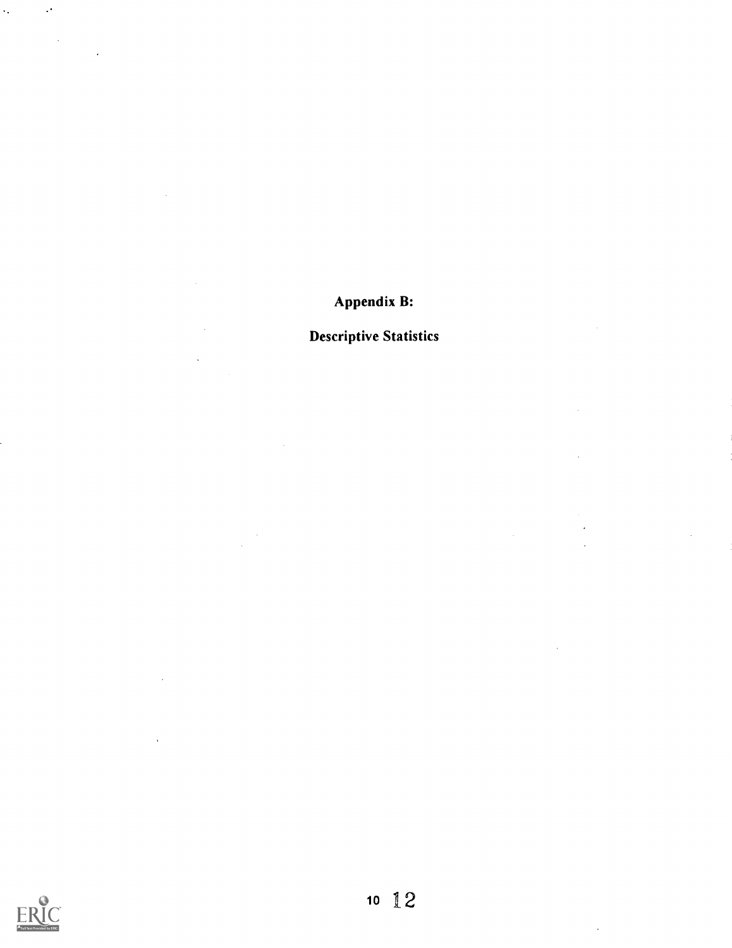#### $\hat{\mathcal{A}}_t$  $\mathcal{A}$

 $\sim$   $\epsilon$ 

 $\ddot{\phantom{0}}$ 

 $\mathcal{A}^{\mathcal{A}}$ 

 $\sim$ 

 $\sim 10$ 

 $\mathcal{L}^{\text{max}}_{\text{max}}$ 

 $\frac{1}{\sqrt{2}}$ 

 $\bar{\beta}$ 

 $\bar{z}$ 

# Appendix B:

# Descriptive Statistics

 $\hat{\mathcal{A}}$ 

 $\ddot{\phantom{0}}$ 

 $\ddot{\phantom{0}}$ 

 $\bar{z}$ 

 $\sim$ 

 $\frac{1}{2}$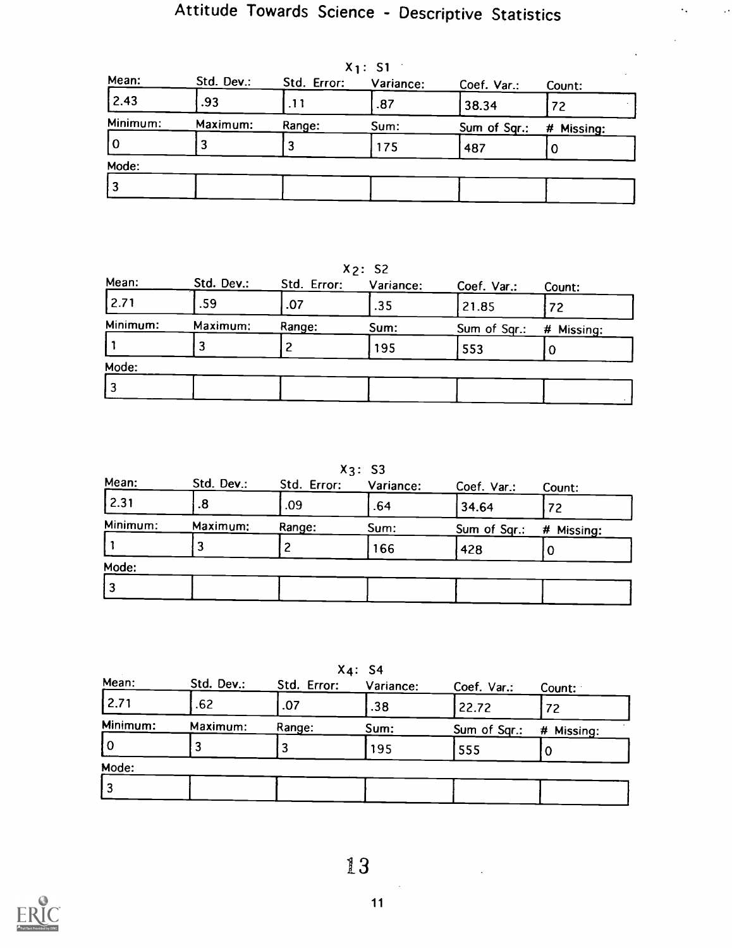$\epsilon_{\star}$ 

 $\bar{\psi}$ 

| Mean:    | Std. Dev.: | Std. Error: | ^ I . J I<br>Variance: | Coef. Var.:  | Count:     |
|----------|------------|-------------|------------------------|--------------|------------|
| 2.43     | .93        | .11         | .87                    | 38.34        | 72         |
| Minimum: | Maximum:   | Range:      | Sum:                   | Sum of Sqr.: | # Missing: |
| l O      |            |             | 175                    | 487          |            |
| Mode:    |            |             |                        |              |            |
| ا 3      |            |             |                        |              |            |

 $X_1: S_1$ 

X2: S2

| Mean:    | Std. Dev.: | Std. Error: | Variance: | Coef. Var.:  | Count:     |
|----------|------------|-------------|-----------|--------------|------------|
| 2.71     | .59        | .07         | .35       | 21.85        | 72         |
| Minimum: | Maximum:   | Range:      | Sum:      | Sum of Sqr.: | # Missing: |
|          |            |             | 195       | 553          |            |
| Mode:    |            |             |           |              |            |
|          |            |             |           |              |            |

X3: S3

| Std. Dev.: | Std. Error: | Variance: | Coef. Var.:  | Count:     |
|------------|-------------|-----------|--------------|------------|
| .8         | .09         | .64       | 34.64        | 72         |
| Maximum:   | Range:      | Sum:      | Sum of Sqr.: | # Missing: |
|            |             | 166       | 428          | U          |
|            |             |           |              |            |
|            |             |           |              |            |
|            |             |           |              |            |

X4: S4

| Mean:    | Std. Dev.: | Std. Error: | Variance: | Coef. Var.:  | Count:     |
|----------|------------|-------------|-----------|--------------|------------|
| 2.71     | .62        | .07         | .38       | 22.72        | 72         |
| Minimum: | Maximum:   | Range:      | Sum:      | Sum of Sqr.: | # Missing: |
| 10       |            |             | 195       | 555          |            |
| Mode:    |            |             |           |              |            |
| l 3      |            |             |           |              |            |



 $\sim$ 

 $\ddot{\phantom{a}}$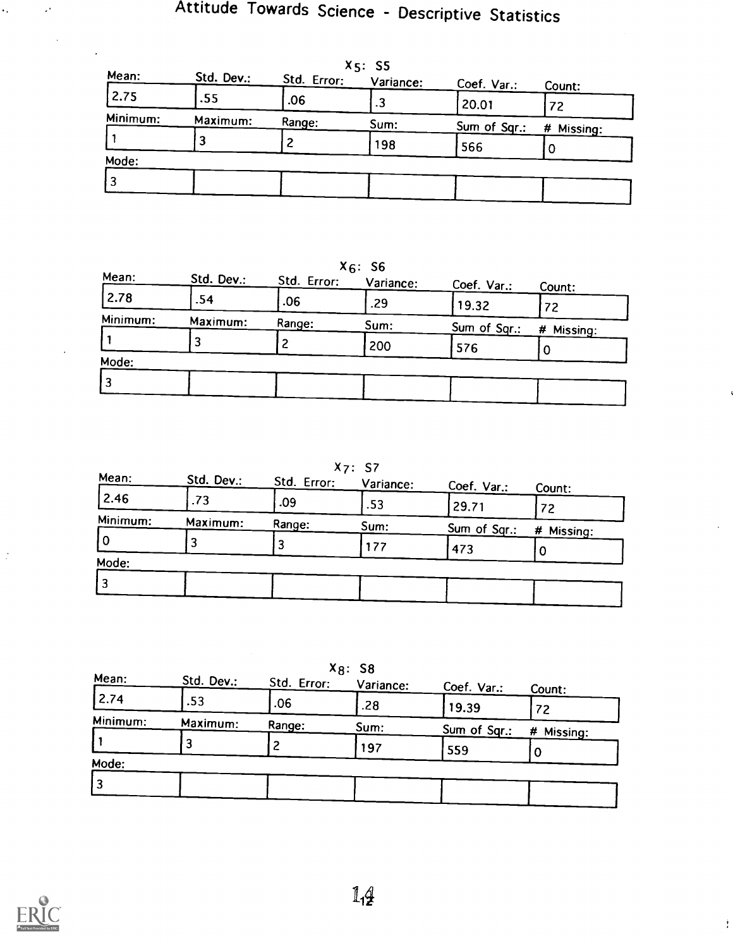|          |            |             | $X_5: S5$ |              |            |
|----------|------------|-------------|-----------|--------------|------------|
| Mean:    | Std. Dev.: | Std. Error: | Variance: | Coef. Var.:  | Count:     |
| 2.75     | .55        | .06         | .3        | 20.01        | 72         |
| Minimum: | Maximum:   | Range:      | Sum:      | Sum of Sqr.: | # Missing: |
|          |            |             | 198       | 566          |            |
| Mode:    |            |             |           |              |            |
| 3        |            |             |           |              |            |
|          |            |             |           |              |            |

|          |            |             | $X_6: S_6$ |              |               |
|----------|------------|-------------|------------|--------------|---------------|
| Mean:    | Std. Dev.: | Std. Error: | Variance:  | Coef. Var.:  | Count:        |
| 2.78     | .54        | .06         | .29        | 19.32        | 72            |
| Minimum: | Maximum:   | Range:      | Sum:       | Sum of Sqr.: | #<br>Missing: |
|          |            |             | 200        | 576          |               |
| Mode:    |            |             |            |              |               |
| 3        |            |             |            |              |               |
|          |            |             |            |              |               |

| X7: S7 |  |
|--------|--|
|--------|--|

| Mean:    | Std. Dev.: | Std. Error: | Variance: | Coef. Var.:  | Count:     |
|----------|------------|-------------|-----------|--------------|------------|
| 2.46     | .73        | .09         | .53       | 29.71        | 72         |
| Minimum: | Maximum:   | Range:      | Sum:      | Sum of Sqr.: | # Missing: |
| l 0      |            |             | 177       | 473          |            |
| Mode:    |            |             |           |              |            |
|          |            |             |           |              |            |
|          |            |             |           |              |            |

|                |            |             | $X_8$ : S8 |              |            |
|----------------|------------|-------------|------------|--------------|------------|
| Mean:          | Std. Dev.: | Std. Error: | Variance:  | Coef. Var.:  | Count:     |
| 2.74           | .53        | .06         | .28        | 19.39        | 72         |
| Minimum:       | Maximum:   | Range:      | Sum:       | Sum of Sqr.: | # Missing: |
|                | 3          |             | 197        | 559          |            |
| Mode:          |            |             |            |              |            |
| $\overline{3}$ |            |             |            |              |            |
|                |            |             |            |              |            |



 $\ddot{\cdot}$ 

 $\ddot{\phantom{0}}$ 

į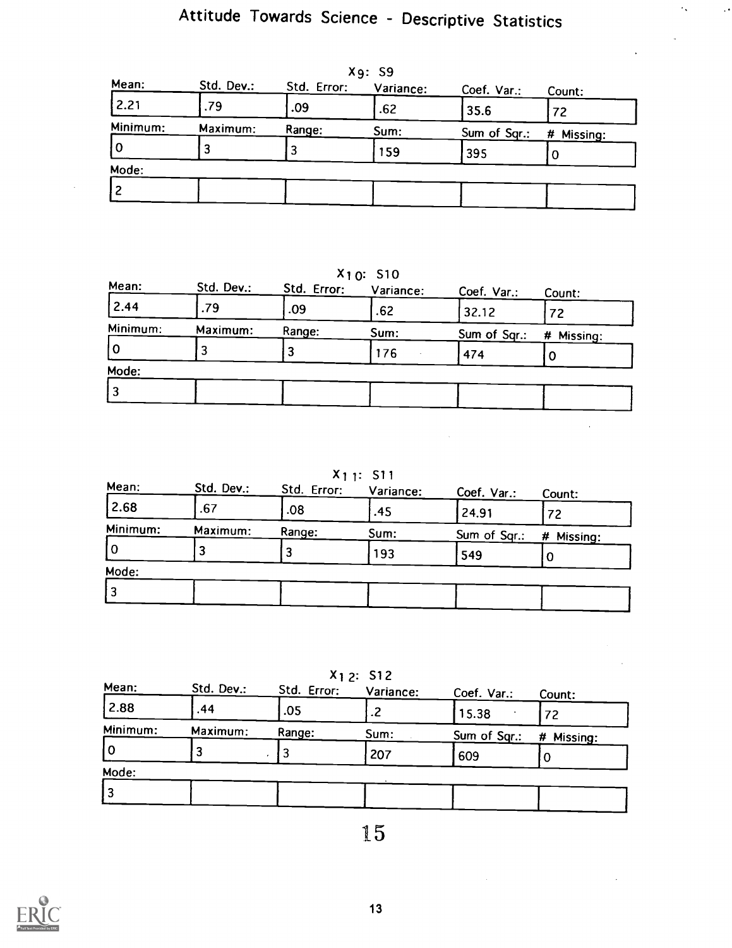| Mean:    | Std. Dev.: | Std. Error: | .<br>Variance: | Coef. Var.:  | Count:     |
|----------|------------|-------------|----------------|--------------|------------|
| 2.21     | .79        | .09         | .62            | 35.6         | 72         |
| Minimum: | Maximum:   | Range:      | Sum:           | Sum of Sqr.: | # Missing: |
| l 0      |            |             | 159            | 395          |            |
| Mode:    |            |             |                |              |            |
|          |            |             |                |              |            |

Xg: S9

X10: S10

| Mean:    | Std. Dev.: | Std. Error: | Variance: | Coef. Var.:  | Count:     |
|----------|------------|-------------|-----------|--------------|------------|
| 2.44     | .79        | .09         | .62       | 32.12        | 72         |
| Minimum: | Maximum:   | Range:      | Sum:      | Sum of Sqr.: | # Missing: |
| 10       |            |             | 176       | 474          | U          |
| Mode:    |            |             |           |              |            |
| ' 3      |            |             |           |              |            |
|          |            |             |           |              |            |

X1 1: S11

 $\mathcal{L}^{\text{max}}_{\text{max}}$ 

|          |        | Variance: | Coef. Var.: | Count:       |
|----------|--------|-----------|-------------|--------------|
| .67      | .08    | .45       | 24.91       | 72           |
| Maximum: | Range: | Sum:      |             | # Missing:   |
|          |        | 193       | 549         |              |
|          |        |           |             |              |
|          |        |           |             |              |
|          |        |           |             | Sum of Sqr.: |

X<sub>1</sub> 2: S12

| Mean:    | Std. Dev.: | Std. Error: | Variance: | Coef. Var.:  | Count:     |
|----------|------------|-------------|-----------|--------------|------------|
| 2.88     | .44        | .05         | .2        | 15.38        | 72         |
| Minimum: | Maximum:   | Range:      | Sum:      | Sum of Sqr.: | # Missing: |
| 10       |            |             | 207       | 609          |            |
| Mode:    |            |             |           |              |            |
| 3 ا      |            |             |           |              |            |
|          |            |             |           |              |            |

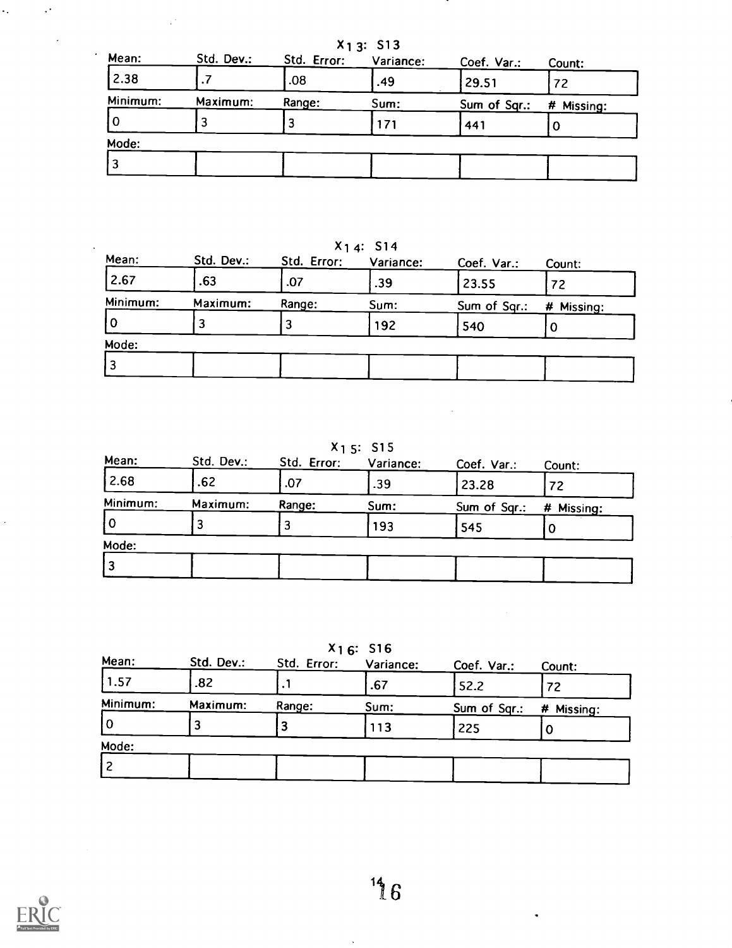| $X_1$ 3: S13 |            |             |           |              |            |  |  |
|--------------|------------|-------------|-----------|--------------|------------|--|--|
| Mean:        | Std. Dev.: | Std. Error: | Variance: | Coef. Var.:  | Count:     |  |  |
| 2.38         |            | .08         | .49       | 29.51        | 72         |  |  |
| Minimum:     | Maximum:   | Range:      | Sum:      | Sum of Sqr.: | # Missing: |  |  |
| 10           |            |             | 171       | 441          | O          |  |  |
| Mode:        |            |             |           |              |            |  |  |
| 3            |            |             |           |              |            |  |  |

.

 $X_1$  4: S14

| Mean:    | Std. Dev.: | Std. Error: | Variance: | Coef. Var.:  | Count:     |
|----------|------------|-------------|-----------|--------------|------------|
| 2.67     | .63        | .07         | .39       | 23.55        | 72         |
| Minimum: | Maximum:   | Range:      | Sum:      | Sum of Sqr.: | # Missing: |
| 0        |            |             | 192       | 540          | O          |
| Mode:    |            |             |           |              |            |
| 3        |            |             |           |              |            |
|          |            |             |           |              |            |

 $x_1$  5: S15

| Std. Dev.: | Std. Error: | Variance: | Coef. Var.:  | Count:     |
|------------|-------------|-----------|--------------|------------|
| .62        | .07         | .39       | 23.28        | 72         |
| Maximum:   | Range:      | Sum:      | Sum of Sqr.: | # Missing: |
|            |             | 193       | 545          |            |
|            |             |           |              |            |
|            |             |           |              |            |
|            |             |           |              |            |

|  | X16 | S <sub>16</sub> |
|--|-----|-----------------|
|  |     |                 |

| Mean:    | Std. Dev.: | Std. Error: | Variance: | Coef. Var.:  | Count:     |
|----------|------------|-------------|-----------|--------------|------------|
| 1.57     | .82        |             | .67       | 52.2         | 72         |
| Minimum: | Maximum:   | Range:      | Sum:      | Sum of Sqr.: | # Missing: |
|          |            |             | 113       | 225          |            |
| Mode:    |            |             |           |              |            |
|          |            |             |           |              |            |
|          |            |             |           |              |            |



Ļ,

 $\mathcal{L}^{\mathcal{A}}$ 

÷.

 $\ddot{\phantom{0}}$ 

 $\ddot{\phantom{a}}$ 

 $\mathbb{R}^3$ 

 $\hat{\boldsymbol{\beta}}$ 

 $\bullet$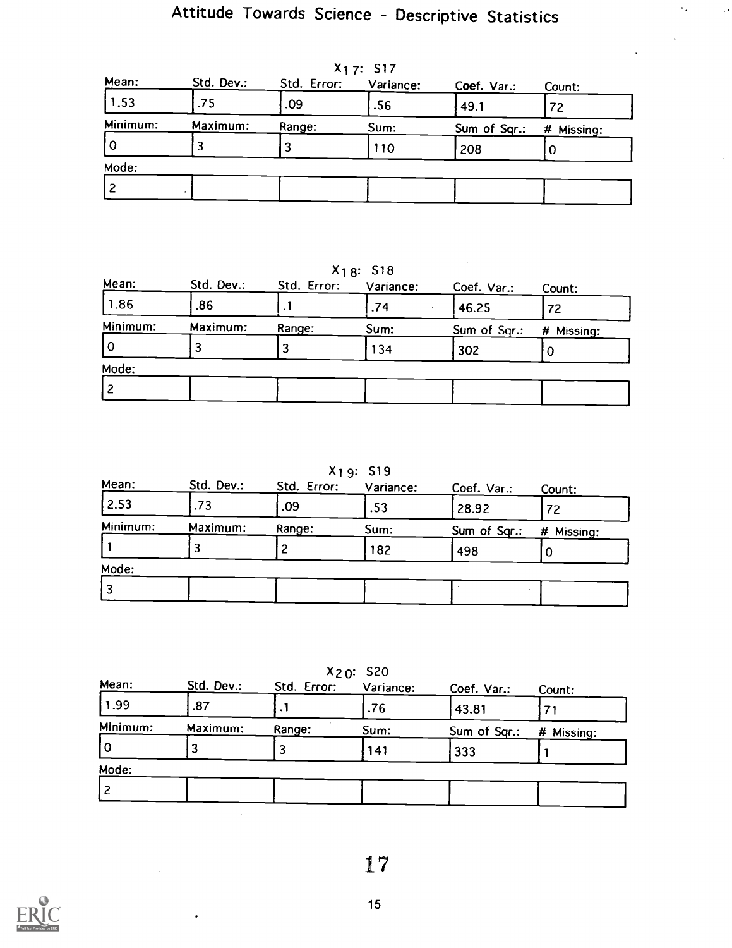$\ddot{\phantom{0}}$ 

| Mean:    | Std. Dev.: | Std. Error: | Variance: | Coef. Var.:  | Count:     |
|----------|------------|-------------|-----------|--------------|------------|
| 1.53     | .75        | .09         | .56       | 49.1         | 72         |
| Minimum: | Maximum:   | Range:      | Sum:      | Sum of Sqr.: | # Missing: |
| l 0      |            |             | 110       | 208          |            |
| Mode:    |            |             |           |              |            |
|          |            |             |           |              |            |

X<sub>17</sub>: S<sub>17</sub>

X18: S18

| Mean:    | Std. Dev.: | Std. Error: | Variance: | Coef. Var.:  | Count:     |
|----------|------------|-------------|-----------|--------------|------------|
| 1.86     | .86        |             | .74       | 46.25        | 72         |
| Minimum: | Maximum:   | Range:      | Sum:      | Sum of Sqr.: | # Missing: |
| l O      |            |             | 134       | 302          |            |
| Mode:    |            |             |           |              |            |
|          |            |             |           |              |            |

X1 9: S19

| Std. Dev.: | Std. Error: | Variance: | Coef. Var.:  | Count:     |
|------------|-------------|-----------|--------------|------------|
| .73        | .09         | .53       | 28.92        | 72         |
| Maximum:   | Range:      | Sum:      | Sum of Sqr.: | # Missing: |
|            |             | 182       | 498          |            |
|            |             |           |              |            |
|            |             |           |              |            |
|            |             |           |              |            |

 $X_{20}$ : S20

| Mean:    | Std. Dev.: | Std. Error: | Variance: | Coef. Var.:  | Count:     |
|----------|------------|-------------|-----------|--------------|------------|
| 1.99     | .87        |             | .76       | 43.81        |            |
| Minimum: | Maximum:   | Range:      | Sum:      | Sum of Sqr.: | # Missing: |
| 10       |            |             | 141       | 333          |            |
| Mode:    |            |             |           |              |            |
| l 2      |            |             |           |              |            |

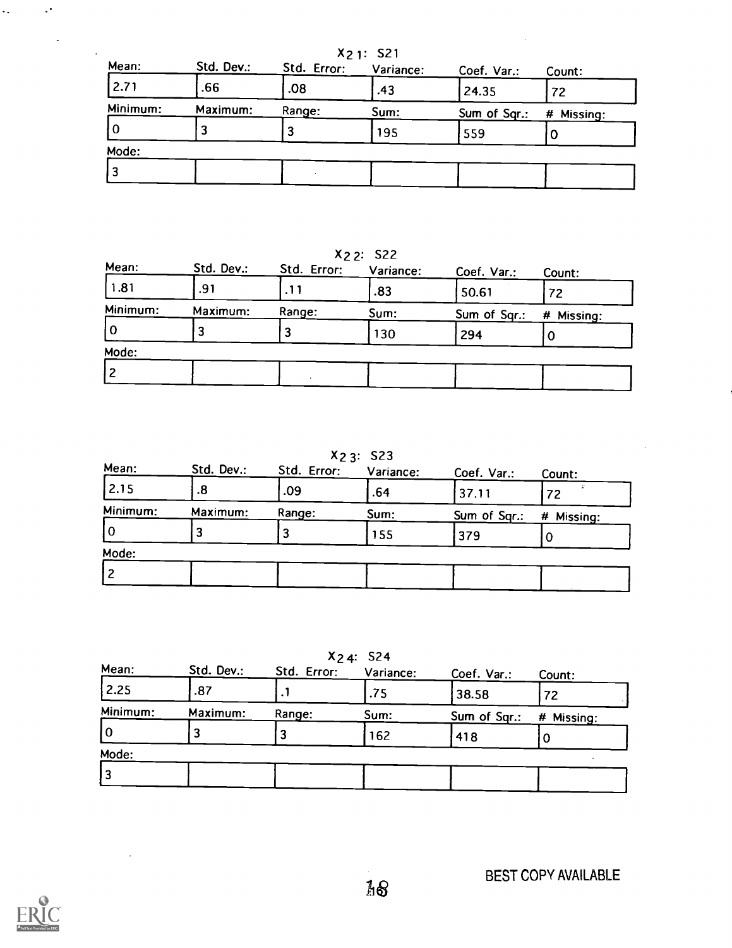| $X_2$ 1: S21 |            |             |           |              |            |
|--------------|------------|-------------|-----------|--------------|------------|
| Mean:        | Std. Dev.: | Std. Error: | Variance: | Coef. Var.:  | Count:     |
| 2.71         | .66        | .08         | .43       | 24.35        | 72         |
| Minimum:     | Maximum:   | Range:      | Sum:      | Sum of Sqr.: | # Missing: |
| 0            |            | 3           | 195       | 559          | O          |
| Mode:        |            |             |           |              |            |
| 3            |            |             |           |              |            |
|              |            |             |           |              |            |

X2 2: S22

| Std. Dev.: | Std. Error: | Variance: | Coef. Var.:  | Count:     |
|------------|-------------|-----------|--------------|------------|
| .91        | .11         | .83       | 50.61        | 72         |
| Maximum:   | Range:      | Sum:      | Sum of Sqr.: | # Missing: |
|            |             | 130       | 294          |            |
|            |             |           |              |            |
|            |             |           |              |            |
|            |             |           |              |            |

X2 3: S23

| Std. Dev.: | Std. Error: | Variance: | Coef. Var.:  | Count:     |
|------------|-------------|-----------|--------------|------------|
| .8         | .09         | .64       | 37.11        | 72         |
| Maximum:   | Range:      | Sum:      | Sum of Sqr.: | # Missing: |
|            |             | 155       | 379          |            |
|            |             |           |              |            |
|            |             |           |              |            |
|            |             |           |              |            |

X24: S24

| Mean:    | Std. Dev.: | Std. Error: | Variance: | Coef. Var.:  | Count:     |
|----------|------------|-------------|-----------|--------------|------------|
| 2.25     | .87        |             | .75       | 38.58        | 72         |
| Minimum: | Maximum:   | Range:      | Sum:      | Sum of Sqr.: | # Missing: |
| 10       |            |             | 162       | 418          |            |
| Mode:    |            |             |           |              |            |
|          |            |             |           |              |            |

 $\mathcal{L}^{\text{max}}_{\text{max}}$  and  $\mathcal{L}^{\text{max}}_{\text{max}}$ 

 $\mathcal{L}_{\text{max}}$ 

 $\sim 10^4$ 

 $\mathcal{A}$ 

 $\frac{1}{2}$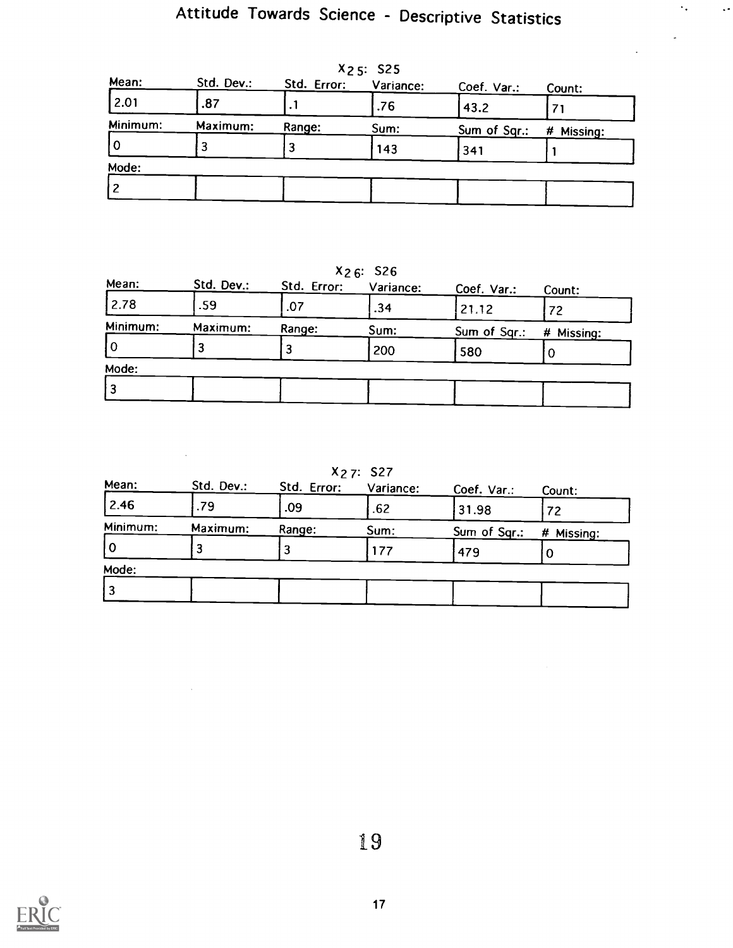$\ddot{\phantom{a}}$  .

 $\ddot{\phantom{1}}$ 

| Mean:          | Std. Dev.: | Std. Error: | 22.5.32<br>Variance: | Coef. Var.:  | Count:     |
|----------------|------------|-------------|----------------------|--------------|------------|
| 2.01           | .87        | $\cdot$ .   | .76                  | 43.2         |            |
| Minimum:       | Maximum:   | Range:      | Sum:                 | Sum of Sqr.: | # Missing: |
| 10             |            |             | 143                  | 341          |            |
| Mode:          |            |             |                      |              |            |
| $\overline{c}$ |            |             |                      |              |            |

 $\mathbf{r}$   $\leq$   $\mathbf{S}$ 

X26: S26

| Std. Dev.: | Std. Error: | Variance: | Coef. Var.:  | Count:     |
|------------|-------------|-----------|--------------|------------|
| .59        | .07         | .34       | 21.12        | 72         |
| Maximum:   | Range:      | Sum:      | Sum of Sqr.: | # Missing: |
|            |             | 200       | 580          |            |
|            |             |           |              |            |
|            |             |           |              |            |
|            |             |           |              |            |

X2 7: S27

| Std. Dev.: | Std. Error: | Variance: | Coef. Var.: | Count:       |
|------------|-------------|-----------|-------------|--------------|
| .79        | .09         | .62       | 31.98       | 72           |
| Maximum:   | Range:      | Sum:      |             | # Missing:   |
|            |             | 177       | 479         |              |
|            |             |           |             |              |
|            |             |           |             |              |
|            |             |           |             | Sum of Sqr.: |

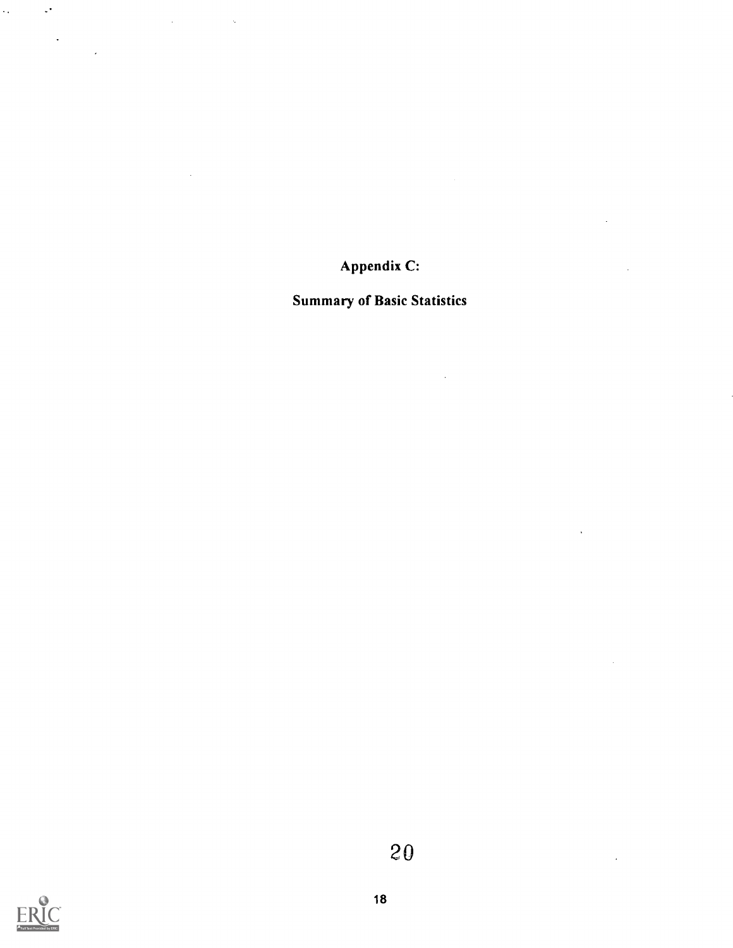Appendix C:

Summary of Basic Statistics



 $\mathcal{L}_{\text{max}}$ 

 $\sim$ 

 $\hat{\mathcal{A}}$ 

 $\ddot{\phantom{0}}$ 

 $\mathcal{L}(\mathcal{L}^{\text{max}})$  and  $\mathcal{L}^{\text{max}}$  and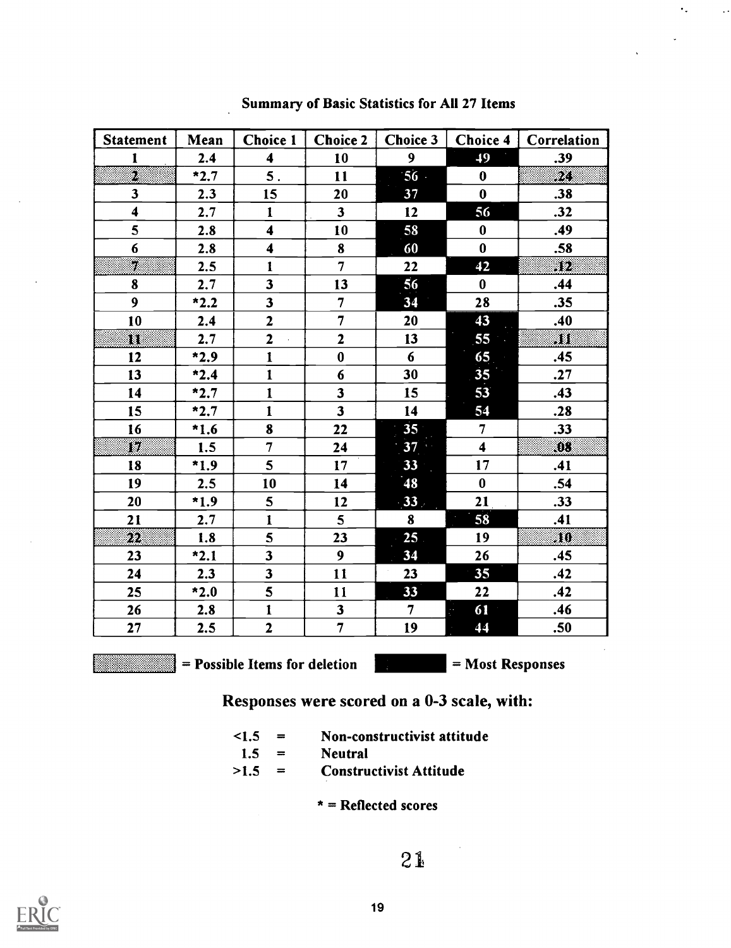| <b>Statement</b>        | Mean   | <b>Choice 1</b>         | <b>Choice 2</b>         | <b>Choice 3</b> | Choice 4                | Correlation  |
|-------------------------|--------|-------------------------|-------------------------|-----------------|-------------------------|--------------|
| $\mathbf{1}$            | 2.4    | $\overline{\mathbf{4}}$ | 10                      | 9 <sup>1</sup>  | 49                      | .39          |
| 2                       | $*2.7$ | 5.                      | 11                      | $56 -$          | $\bf{0}$                | 23           |
| $\overline{\mathbf{3}}$ | 2.3    | 15                      | 20                      | 37              | $\bf{0}$                | .38          |
| $\overline{\mathbf{4}}$ | 2.7    | $\mathbf{1}$            | 3 <sup>1</sup>          | 12              | 56                      | .32          |
| 5                       | 2.8    | $\overline{\mathbf{4}}$ | 10                      | 58              | $\bf{0}$                | .49          |
| 6                       | 2.8    | $\overline{\mathbf{4}}$ | 8                       | 60              | $\bf{0}$                | .58          |
| Ø                       | 2.5    | $\mathbf{1}$            | $\overline{7}$          | 22              | 42                      | 50           |
| 8                       | 2.7    | $\overline{\mathbf{3}}$ | 13                      | 56              | $\bf{0}$                | .44          |
| 9                       | $*2.2$ | $\overline{\mathbf{3}}$ | $\overline{7}$          | 34              | 28                      | .35          |
| 10                      | 2.4    | $\overline{2}$          | $\overline{7}$          | 20              | 43                      | .40          |
| 80                      | 2.7    | $\overline{2}$          | $\overline{\mathbf{2}}$ | 13              | 55                      | 81           |
| 12                      | $*2.9$ | $\mathbf{1}$            | $\bf{0}$                | 6               | 65                      | .45          |
| 13                      | $*2.4$ | $\mathbf{1}$            | $6\phantom{1}$          | 30              | 35 <sub>5</sub>         | .27          |
| 14                      | $*2.7$ | $\mathbf{1}$            | $\overline{\mathbf{3}}$ | 15              | 53                      | .43          |
| 15                      | $*2.7$ | $\mathbf{1}$            | $\overline{\mathbf{3}}$ | 14              | 54                      | .28          |
| 16                      | $*1.6$ | 8                       | 22                      | 35 <sup>°</sup> | $\overline{7}$          | .33          |
| 7.                      | 1.5    | $\overline{7}$          | 24                      | 37 <sub>1</sub> | $\overline{\mathbf{4}}$ | W.           |
| 18                      | $*1.9$ | 5 <sup>5</sup>          | 17                      | $33 -$          | 17 <sub>2</sub>         | .41          |
| 19                      | 2.5    | 10                      | 14                      | 48              | $\bf{0}$                | .54          |
| 20                      | $*1.9$ | 5 <sup>5</sup>          | 12                      | $-33$           | 21                      | .33          |
| 21                      | 2.7    | $\mathbf{I}$            | $5\phantom{.0}$         | 8               | 58                      | .41          |
| $\mathfrak{D}2$         | 1.8    | 5                       | 23                      | 25 <sub>1</sub> | 19                      | $10^{\circ}$ |
| 23                      | $*2.1$ | $\overline{\mathbf{3}}$ | 9                       | 34              | 26                      | .45          |
| 24                      | 2.3    | $\overline{\mathbf{3}}$ | 11                      | 23              | 35                      | .42          |
| 25                      | $*2.0$ | 5                       | 11                      | 33              | 22                      | .42          |
| 26                      | 2.8    | $\mathbf{1}$            | $\overline{\mathbf{3}}$ | 7 <sup>1</sup>  | 61<br>Ġ,                | .46          |
| 27                      | 2.5    | $\overline{2}$          | $\overline{7}$          | 19              | 44                      | .50          |

Summary of Basic Statistics for All 27 Items

= Possible Items for deletion = Most Responses

 $\mathcal{L}^{\mathcal{L}}$ 

Responses were scored on a 0-3 scale, with:

<1.5 = Non-constructivist attitude >1.5 <sup>=</sup> Non-constructivist attitude Constructivist Attitude

$$
1.5 = Neural
$$

\* = Reflected scores

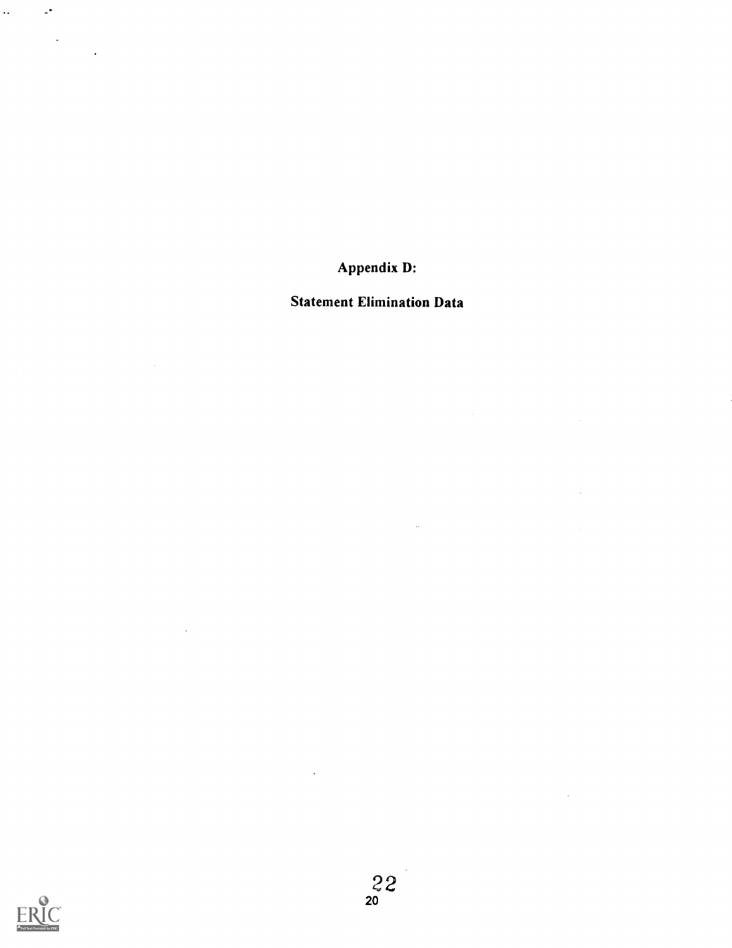Appendix D:

Statement Elimination Data

 $\mathbb{Z}^2$ 

 $\bar{z}$ 

 $\sim$ 



 $\sim$   $\sim$ 

 $\mathcal{L}_{\mathcal{L}}$ 

 $\sim$   $\omega^2$ 

 $\label{eq:2} \frac{1}{\sqrt{2}}\left(\frac{1}{\sqrt{2}}\right)^{2} \frac{1}{\sqrt{2}}\left(\frac{1}{\sqrt{2}}\right)^{2}$ 

 $\mathbb{R}^2$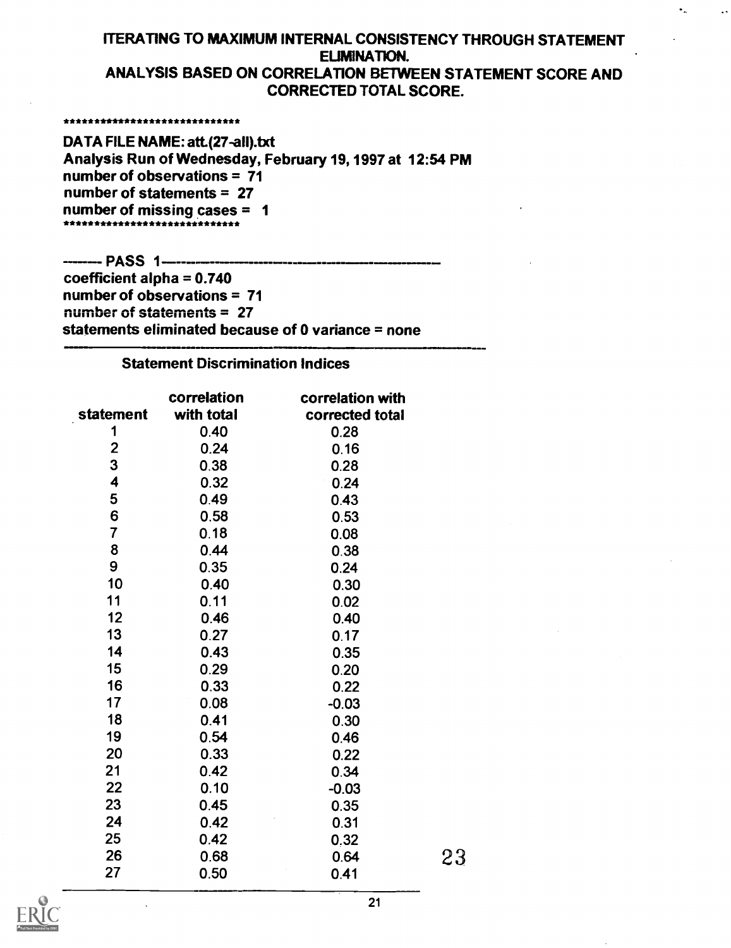### ITERATING TO MAXIMUM INTERNAL CONSISTENCY THROUGH STATEMENT ELIMINATION. ANALYSIS BASED ON CORRELATION BETWEEN STATEMENT SCORE AND CORRECTED TOTAL SCORE.

\*\*\*\*\*\*\*\*\*\*\*\*\*\*\*\*\*\*\*\*\*\*\*\*\*\*\*\*\*\*

DATA FILE NAME: att.(27-all).txt Analysis Run of Wednesday, February 19, 1997 at 12:54 PM number of observations = 71 number of statements = 27 number of missing cases = 1 \*\*\*\*\*\*\*\*\*\*\*\*\*\*\*\*\*\*\*\*\*\*\*\*\*\*\*\*\*\*\*\*

---- PASS 1----- ---- - coefficient alpha  $= 0.740$ number of observations = 71 number of statements = 27 statements eliminated because of 0 variance = none

### Statement Discrimination Indices

|                | correlation | correlation with |    |
|----------------|-------------|------------------|----|
| statement      | with total  | corrected total  |    |
| 1              | 0.40        | 0.28             |    |
| $\mathbf{2}$   | 0.24        | 0.16             |    |
| 3              | 0.38        | 0.28             |    |
| 4              | 0.32        | 0.24             |    |
| 5              | 0.49        | 0.43             |    |
| 6              | 0.58        | 0.53             |    |
| $\overline{7}$ | 0.18        | 0.08             |    |
| 8              | 0.44        | 0.38             |    |
| 9              | 0.35        | 0.24             |    |
| 10             | 0.40        | 0.30             |    |
| 11             | 0.11        | 0.02             |    |
| 12             | 0.46        | 0.40             |    |
| 13             | 0.27        | 0.17             |    |
| 14             | 0.43        | 0.35             |    |
| 15             | 0.29        | 0.20             |    |
| 16             | 0.33        | 0.22             |    |
| 17             | 0.08        | $-0.03$          |    |
| 18             | 0.41        | 0.30             |    |
| 19             | 0.54        | 0.46             |    |
| 20             | 0.33        | 0.22             |    |
| 21             | 0.42        | 0.34             |    |
| 22             | 0.10        | $-0.03$          |    |
| 23             | 0.45        | 0.35             |    |
| 24             | 0.42        | 0.31             |    |
| 25             | 0.42        | 0.32             |    |
| 26             | 0.68        | 0.64             | 23 |
| 27             | 0.50        | 0.41             |    |

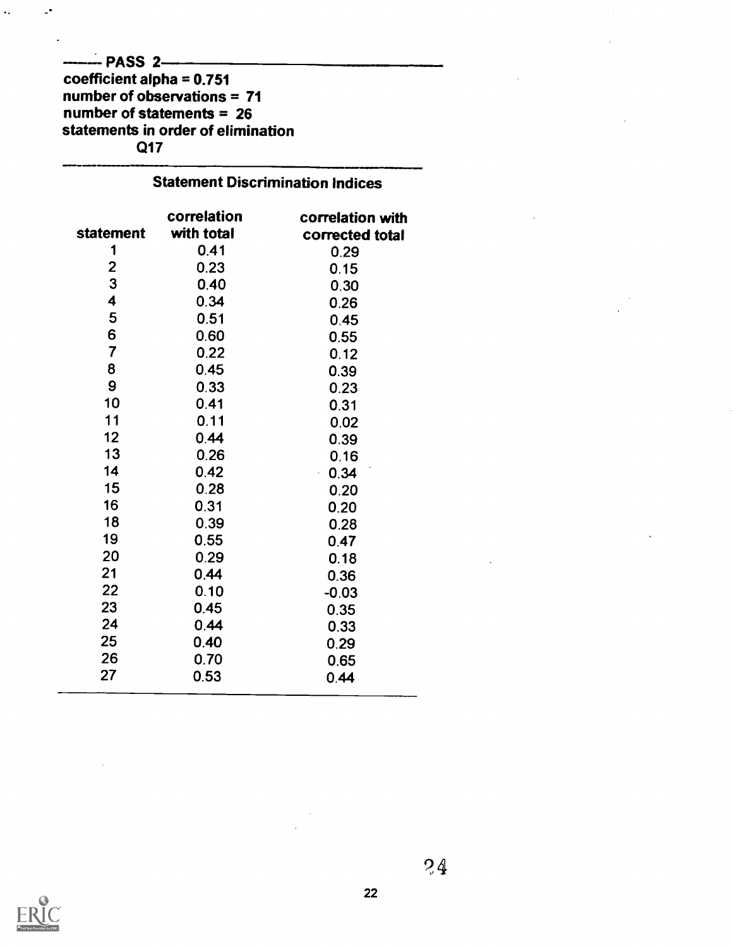### $---$ PASS 2———  $\overline{\phantom{a}}$ coefficient alpha = 0.751 number of observations = 71 number of statements = 26 statements in order of elimination Q17

 $\mathbb{L}^{\bullet}$ 

 $\ddot{\phantom{a}}$ 

## **Statement Discrimination Indices**

|                         | correlation | correlation with |  |
|-------------------------|-------------|------------------|--|
| <b>statement</b>        | with total  | corrected total  |  |
| 1                       | 0.41        | 0.29             |  |
| 2                       | 0.23        | 0.15             |  |
| 3                       | 0.40        | 0.30             |  |
| 4                       | 0.34        | 0.26             |  |
| 5                       | 0.51        | 0.45             |  |
| 6                       | 0.60        | 0.55             |  |
| $\overline{\mathbf{7}}$ | 0.22        | 0.12             |  |
| 8                       | 0.45        | 0.39             |  |
| 9                       | 0.33        | 0.23             |  |
| 10                      | 0.41        | 0.31             |  |
| 11                      | 0.11        | 0.02             |  |
| 12                      | 0.44        | 0.39             |  |
| 13                      | 0.26        | 0.16             |  |
| 14                      | 0.42        | 0.34             |  |
| 15                      | 0.28        | 0.20             |  |
| 16                      | 0.31        | 0.20             |  |
| 18                      | 0.39        | 0.28             |  |
| 19                      | 0.55        | 0.47             |  |
| 20                      | 0.29        | 0.18             |  |
| 21                      | 0.44        | 0.36             |  |
| 22                      | 0.10        | $-0.03$          |  |
| 23                      | 0.45        | 0.35             |  |
| 24                      | 0.44        | 0.33             |  |
| 25                      | 0.40        | 0.29             |  |
| 26                      | 0.70        | 0.65             |  |
| 27                      | 0.53        | 0.44             |  |



 $2.4$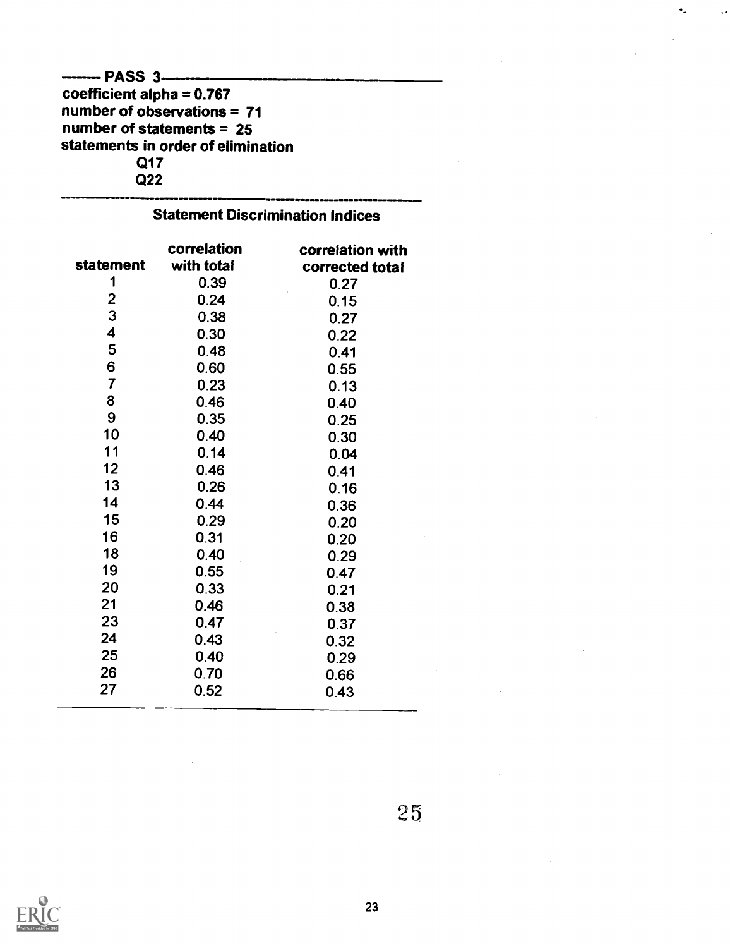## $-$  PASS  $3$ ---coefficient alpha = 0.767 number of observations = 71 number of statements = 25 statements in order of elimination Q17 Q22

| JURICHICHL DISTRIBUTION<br><b>HUILES</b> |                           |                                     |  |  |  |  |
|------------------------------------------|---------------------------|-------------------------------------|--|--|--|--|
| statement                                | correlation<br>with total | correlation with<br>corrected total |  |  |  |  |
| 1                                        | 0.39                      | 0.27                                |  |  |  |  |
| $\overline{2}$                           | 0.24                      | 0.15                                |  |  |  |  |
| 3                                        | 0.38                      | 0.27                                |  |  |  |  |
| 4                                        | 0.30                      | 0.22                                |  |  |  |  |
| 5                                        | 0.48                      | 0.41                                |  |  |  |  |
| 6                                        | 0.60                      | 0.55                                |  |  |  |  |
| $\overline{7}$                           | 0.23                      | 0.13                                |  |  |  |  |
| 8                                        | 0.46                      | 0.40                                |  |  |  |  |
| 9                                        | 0.35                      | 0.25                                |  |  |  |  |
| 10                                       | 0.40                      | 0.30                                |  |  |  |  |
| 11                                       | 0.14                      | 0.04                                |  |  |  |  |
| 12                                       | 0.46                      | 0.41                                |  |  |  |  |
| 13                                       | 0.26                      | 0.16                                |  |  |  |  |
| 14                                       | 0.44                      | 0.36                                |  |  |  |  |
| 15                                       | 0.29                      | 0.20                                |  |  |  |  |
| 16                                       | 0.31                      | 0.20                                |  |  |  |  |
| 18                                       | 0.40                      | 0.29                                |  |  |  |  |
| 19                                       | 0.55                      | 0.47                                |  |  |  |  |
| 20                                       | 0.33                      | 0.21                                |  |  |  |  |
| 21                                       | 0.46                      | 0.38                                |  |  |  |  |
| 23                                       | 0.47                      | 0.37                                |  |  |  |  |
| 24                                       | 0.43                      | 0.32                                |  |  |  |  |
| 25                                       | 0.40                      | 0.29                                |  |  |  |  |
| 26                                       | 0.70                      | 0.66                                |  |  |  |  |
| 27                                       | 0.52                      | 0.43                                |  |  |  |  |

# Statement Discrimination Indices

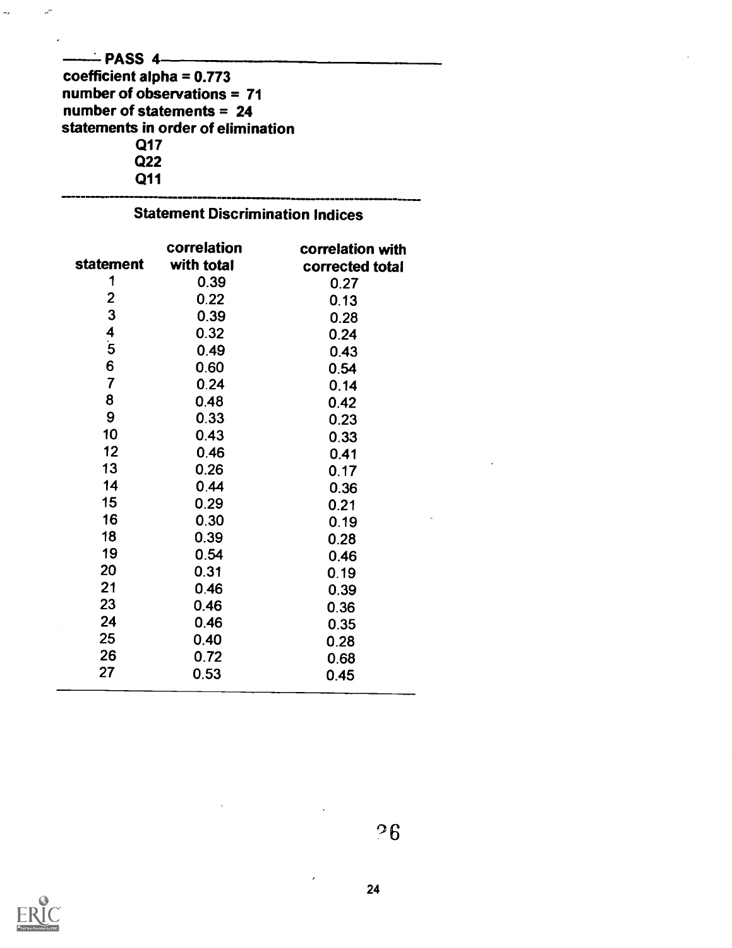| ——— PASS 4—                        |  |
|------------------------------------|--|
| coefficient alpha = $0.773$        |  |
| number of observations = 71        |  |
| number of statements $= 24$        |  |
| statements in order of elimination |  |
| Q17                                |  |
| Q22                                |  |
| Q11                                |  |
|                                    |  |

 $\mathbb{Z}_8$ 

 $\omega^0$ 

|                         | correlation | correlation with |
|-------------------------|-------------|------------------|
| <b>statement</b>        | with total  | corrected total  |
| 1                       | 0.39        | 0.27             |
| $\mathbf{2}$            | 0.22        | 0.13             |
| 3                       | 0.39        | 0.28             |
| 4                       | 0.32        | 0.24             |
| $\overline{\mathbf{5}}$ | 0.49        | 0.43             |
| 6                       | 0.60        | 0.54             |
| $\overline{7}$          | 0.24        | 0.14             |
| 8                       | 0.48        | 0.42             |
| 9                       | 0.33        | 0.23             |
| 10                      | 0.43        | 0.33             |
| 12                      | 0.46        | 0.41             |
| 13                      | 0.26        | 0.17             |
| 14                      | 0.44        | 0.36             |
| 15                      | 0.29        | 0.21             |
| 16                      | 0.30        | 0.19             |
| 18                      | 0.39        | 0.28             |
| 19                      | 0.54        | 0.46             |
| 20                      | 0.31        | 0.19             |
| 21                      | 0.46        | 0.39             |
| 23                      | 0.46        | 0.36             |
| 24                      | 0.46        | 0.35             |
| 25                      | 0.40        | 0.28             |
| 26                      | 0.72        | 0.68             |
| 27                      | 0.53        | 0.45             |



°6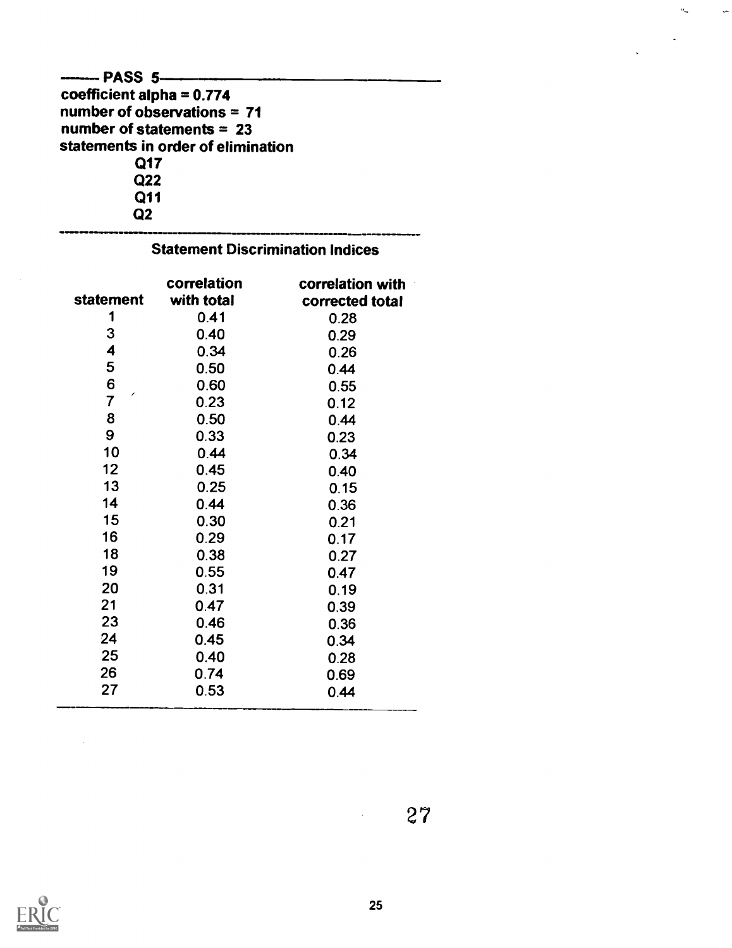| -------- PASS 5------              |  |
|------------------------------------|--|
| coefficient alpha = $0.774$        |  |
| number of observations = $71$      |  |
| number of statements = $23$        |  |
| statements in order of elimination |  |
| Q17                                |  |
| Q <sub>22</sub>                    |  |
| Q11                                |  |
| ი?                                 |  |

## Statement Discrimination Indices

| statement               | correlation<br>with total | correlation with<br>corrected total |  |
|-------------------------|---------------------------|-------------------------------------|--|
| 1                       | 0.41                      | 0.28                                |  |
| 3                       | 0.40                      | 0.29                                |  |
| $\overline{\mathbf{4}}$ | 0.34                      | 0.26                                |  |
| 5                       | 0.50                      | 0.44                                |  |
| 6                       | 0.60                      | 0.55                                |  |
| ╭<br>$\overline{7}$     | 0.23                      | 0.12                                |  |
| 8                       | 0.50                      | 0.44                                |  |
| 9                       | 0.33                      | 0.23                                |  |
| 10                      | 0.44                      | 0.34                                |  |
| 12                      | 0.45                      | 0.40                                |  |
| 13                      | 0.25                      | 0.15                                |  |
| 14                      | 0.44                      | 0.36                                |  |
| 15                      | 0.30                      | 0.21                                |  |
| 16                      | 0.29                      | 0.17                                |  |
| 18                      | 0.38                      | 0.27                                |  |
| 19                      | 0.55                      | 0.47                                |  |
| 20                      | 0.31                      | 0.19                                |  |
| 21                      | 0.47                      | 0.39                                |  |
| 23                      | 0.46                      | 0.36                                |  |
| 24                      | 0.45                      | 0.34                                |  |
| 25                      | 0.40                      | 0.28                                |  |
| 26                      | 0.74                      | 0.69                                |  |
| 27                      | 0.53                      | 0.44                                |  |

 $27$ 

 $\ddot{\cdot}$ 

 $\theta_{\rm m}$ 



 $\hat{\mathcal{L}}$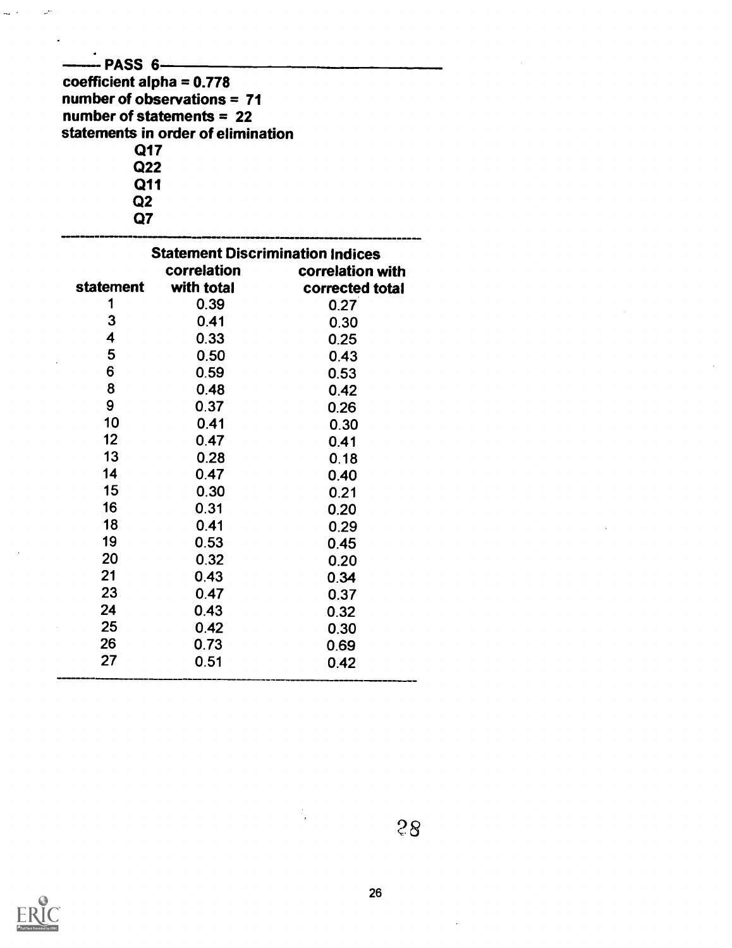| - PASS 6—<br>coefficient alpha = $0.778$<br>number of observations $= 71$<br>number of statements = $22$<br>statements in order of elimination<br>Q17<br>Q22<br>Q11<br>Q2<br>Q7 |                                                        |                  |  |  |  |
|---------------------------------------------------------------------------------------------------------------------------------------------------------------------------------|--------------------------------------------------------|------------------|--|--|--|
|                                                                                                                                                                                 | <b>Statement Discrimination Indices</b><br>correlation | correlation with |  |  |  |
| statement                                                                                                                                                                       | with total                                             | corrected total  |  |  |  |
| 1                                                                                                                                                                               | 0.39                                                   | 0.27             |  |  |  |
| 3                                                                                                                                                                               | 0.41                                                   | 0.30             |  |  |  |
| 4                                                                                                                                                                               | 0.33                                                   | 0.25             |  |  |  |
| 5                                                                                                                                                                               | 0.50                                                   | 0.43             |  |  |  |
| 6                                                                                                                                                                               | 0.59                                                   | 0.53             |  |  |  |
| 8                                                                                                                                                                               | 0.48                                                   | 0.42             |  |  |  |
| 9                                                                                                                                                                               | 0.37                                                   | 0.26             |  |  |  |
| 10                                                                                                                                                                              | 0.41                                                   | 0.30             |  |  |  |
| 12                                                                                                                                                                              | 0.47                                                   | 0.41             |  |  |  |
| 13                                                                                                                                                                              | 0.28                                                   | 0.18             |  |  |  |
| 14                                                                                                                                                                              | 0.47                                                   | 0.40             |  |  |  |
| 15                                                                                                                                                                              | 0.30                                                   | 0.21             |  |  |  |
| 16                                                                                                                                                                              | 0.31                                                   | 0.20             |  |  |  |
| 18                                                                                                                                                                              | 0.41                                                   | 0.29             |  |  |  |
| 19                                                                                                                                                                              | 0.53                                                   | 0.45             |  |  |  |
| 20                                                                                                                                                                              | 0.32                                                   | 0.20             |  |  |  |
| 21                                                                                                                                                                              | 0.43                                                   | 0.34             |  |  |  |
| 23                                                                                                                                                                              | 0.47                                                   | 0.37             |  |  |  |
| 24                                                                                                                                                                              | 0.43                                                   | 0.32             |  |  |  |
| 25                                                                                                                                                                              | 0.42                                                   | 0.30             |  |  |  |
| 26<br>27                                                                                                                                                                        | 0.73                                                   | 0.69             |  |  |  |
|                                                                                                                                                                                 | 0.51                                                   | 0.42             |  |  |  |



 $\bar{\mathcal{A}}$ 

 $\hat{\boldsymbol{\beta}}$ 



 $\ddot{\phantom{0}}$ 

 $\frac{1}{\sqrt{2}}$  .

 $\mathbb{R}^3$ 

26

 $\frac{1}{2}$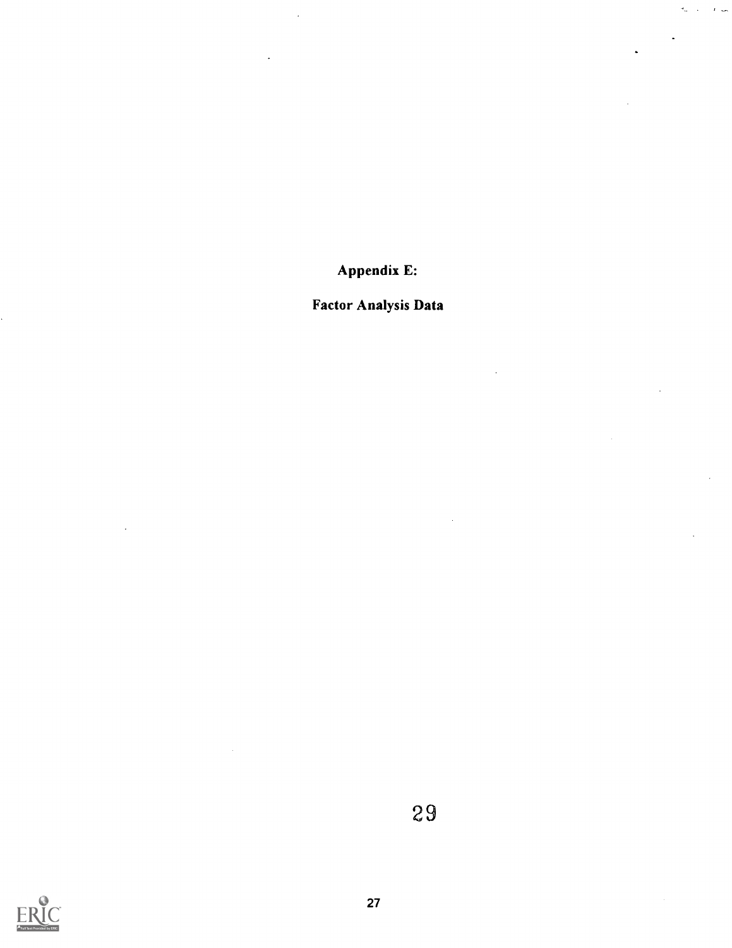Appendix E:

 $\bar{r}$  ,  $\bar{r}$  $\mathcal{L}$ 

# Factor Analysis Data

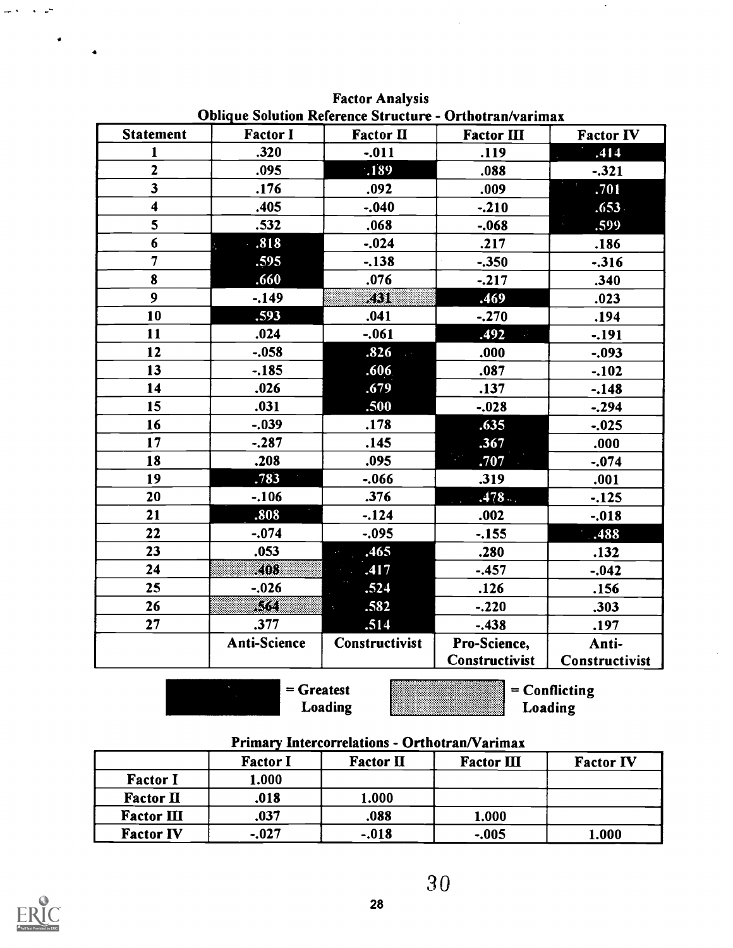|                         |                     |                        | <b>Oblique Solution Reference Structure - Orthotran/varimax</b> |                       |
|-------------------------|---------------------|------------------------|-----------------------------------------------------------------|-----------------------|
| <b>Statement</b>        | <b>Factor I</b>     | <b>Factor II</b>       | Factor III                                                      | <b>Factor IV</b>      |
| $\mathbf{1}$            | .320                | $-.011$                | .119                                                            | .414                  |
| $\overline{2}$          | .095                | .189                   | .088                                                            | $-.321$               |
| $\overline{\mathbf{3}}$ | .176                | .092                   | .009                                                            | .701                  |
| 4                       | .405                | $-.040$                | $-.210$                                                         | .653.                 |
| 5                       | .532                | .068                   | $-.068$                                                         | .599                  |
| 6                       | $-.818$             | $-.024$                | .217                                                            | .186                  |
| $\overline{7}$          | .595                | $-.138$                | $-.350$                                                         | $-.316$               |
| 8                       | .660                | .076                   | $-.217$                                                         | .340                  |
| 9                       | $-.149$             | KST.                   | .469                                                            | .023                  |
| 10                      | .593                | .041                   | $-.270$                                                         | .194                  |
| 11                      | .024                | $-.061$                | .492<br>$\mathcal{L}^{\mathcal{L}}$                             | $-.191$               |
| 12                      | $-.058$             | .826                   | .000                                                            | $-.093$               |
| 13                      | $-.185$             | .606                   | .087                                                            | $-.102$               |
| 14                      | .026                | .679                   | .137                                                            | $-.148$               |
| 15                      | .031                | .500                   | $-.028$                                                         | $-.294$               |
| 16                      | $-.039$             | .178                   | .635                                                            | $-.025$               |
| 17                      | $-.287$             | .145                   | .367                                                            | .000                  |
| 18                      | .208                | .095                   | .707                                                            | $-.074$               |
| 19                      | .783                | $-.066$                | .319                                                            | .001                  |
| 20                      | $-.106$             | .376                   | .478                                                            | $-.125$               |
| 21                      | .808                | $-.124$                | .002                                                            | $-.018$               |
| 22                      | $-.074$             | $-.095$                | $-155$                                                          | .488                  |
| 23                      | .053                | .465<br><b>Service</b> | .280                                                            | .132                  |
| 24                      | KOO.                | .417<br>Ŀ.             | $-.457$                                                         | $-.042$               |
| 25                      | $-.026$             | .524                   | .126                                                            | .156                  |
| 26                      | 83                  | .582<br>s.             | $-.220$                                                         | .303                  |
| 27                      | .377                | .514                   | $-.438$                                                         | .197                  |
|                         | <b>Anti-Science</b> | <b>Constructivist</b>  | Pro-Science,                                                    | Anti-                 |
|                         |                     |                        | Constructivist                                                  | <b>Constructivist</b> |

Factor Analysis

= Greatest Loading = Conflicting Loading

 $\bar{z}$ 

### Primary Intercorrelations - Orthotran/Varimax

|                   | <b>Factor I</b> | <b>Factor II</b> | Factor III | <b>Factor IV</b> |
|-------------------|-----------------|------------------|------------|------------------|
| <b>Factor I</b>   | l.000           |                  |            |                  |
| Factor II         | .018            | 1.000            |            |                  |
| <b>Factor III</b> | .037            | .088             | 1.000      |                  |
| <b>Factor IV</b>  | $-.027$         | $-.018$          | $-.005$    | 1.000            |



 $\sim$ 

 $\sim$   $\sim$ 

 $\bullet$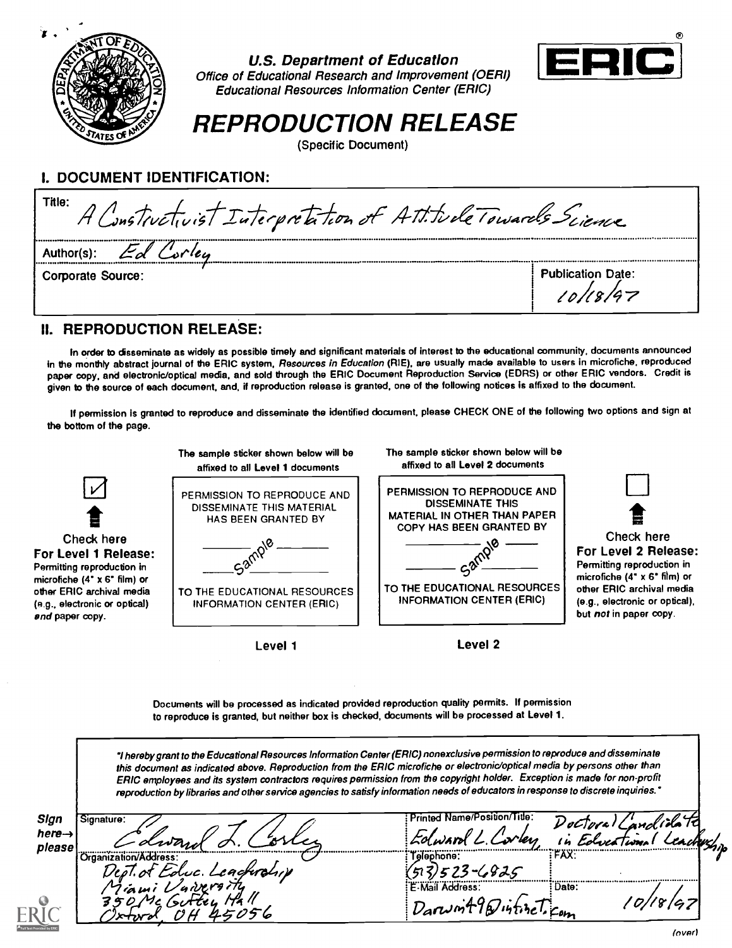

### U.S. Department of Education

z Educational Resources Information Center (ERIC) Office of Educational Research and Improvement (OERI)



REPRODUCTION RELEASE

(Specific Document)

# I. DOCUMENT IDENTIFICATION:

| Title:<br>A Constructivist Interpretation of Att. FulleTowards Science |          |  |  |
|------------------------------------------------------------------------|----------|--|--|
| Author(s)                                                              |          |  |  |
| <b>Publication Date:</b><br>Corporate Source:                          | 10/18/97 |  |  |

## II. REPRODUCTION RELEASE:

In order to disseminate as widely as possible timely and significant materials of interest to the educational community, documents announced in the monthly abstract journal of the ERIC system, Resources in Education (RIE), are usually made available to users in microfiche, reproduced paper copy, and electronic/optical media, and sold through the ERIC Document Reproduction Service (EDRS) or other ERIC vendors. Credit is given to the source of each document, and, if reproduction release is granted, one of the following notices is affixed to the document.

If permission is granted to reproduce and disseminate the identified document, please CHECK ONE of the following two options and sign at the bottom of the page.



Documents will be processed as indicated provided reproduction quality permits. If permission to reproduce is granted, but neither box is checked, documents will be processed at Level 1.

hereby grant to the Educational Resources Information Center (ERIC) nonexclusive permission to reproduce and disseminate this document as indicated above. Reproduction from the ERIC microfiche or electronic/optical media by persons other than ERIC employees and its system contractors requires permission from the copyright holder. Exception is made for non-profit reproduction by libraries and other service agencies to satisfy information needs of educators in response to discrete inquiries."

| Sign<br>here $\rightarrow$<br>please | Signature:<br>Ewan                        | Printed Name/Position/Title:<br>Edward<br>vers | <i>VoCToral</i><br>. EdveaTions' |  |
|--------------------------------------|-------------------------------------------|------------------------------------------------|----------------------------------|--|
|                                      | Organization/Address<br>TEduc. Leaghrolin | Telephone:<br>$-6825$                          | :FAX:                            |  |
|                                      | Miami Vaireraity                          | E-Mail Address:<br>: Darwint 12/14tizel com    | : Date:<br>8/67                  |  |